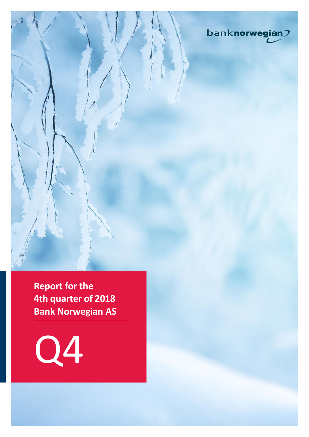

**Report for the 4th quarter of 2018 Bank Norwegian AS**

Q4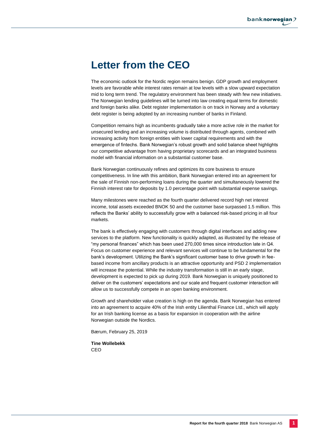# **Letter from the CEO**

The economic outlook for the Nordic region remains benign. GDP growth and employment levels are favorable while interest rates remain at low levels with a slow upward expectation mid to long term trend. The regulatory environment has been steady with few new initiatives. The Norwegian lending guidelines will be turned into law creating equal terms for domestic and foreign banks alike. Debt register implementation is on track in Norway and a voluntary debt register is being adopted by an increasing number of banks in Finland.

Competition remains high as incumbents gradually take a more active role in the market for unsecured lending and an increasing volume is distributed through agents, combined with increasing activity from foreign entities with lower capital requirements and with the emergence of fintechs. Bank Norwegian's robust growth and solid balance sheet highlights our competitive advantage from having proprietary scorecards and an integrated business model with financial information on a substantial customer base.

Bank Norwegian continuously refines and optimizes its core business to ensure competitiveness. In line with this ambition, Bank Norwegian entered into an agreement for the sale of Finnish non-performing loans during the quarter and simultaneously lowered the Finnish interest rate for deposits by 1.0 percentage point with substantial expense savings.

Many milestones were reached as the fourth quarter delivered record high net interest income, total assets exceeded BNOK 50 and the customer base surpassed 1.5 million. This reflects the Banks' ability to successfully grow with a balanced risk-based pricing in all four markets.

The bank is effectively engaging with customers through digital interfaces and adding new services to the platform. New functionality is quickly adapted, as illustrated by the release of "my personal finances" which has been used 270,000 times since introduction late in Q4. Focus on customer experience and relevant services will continue to be fundamental for the bank's development. Utilizing the Bank's significant customer base to drive growth in feebased income from ancillary products is an attractive opportunity and PSD 2 implementation will increase the potential. While the industry transformation is still in an early stage, development is expected to pick up during 2019. Bank Norwegian is uniquely positioned to deliver on the customers' expectations and our scale and frequent customer interaction will allow us to successfully compete in an open banking environment.

Growth and shareholder value creation is high on the agenda. Bank Norwegian has entered into an agreement to acquire 40% of the Irish entity Lilienthal Finance Ltd., which will apply for an Irish banking license as a basis for expansion in cooperation with the airline Norwegian outside the Nordics.

Bærum, February 25, 2019

**Tine Wollebekk** CEO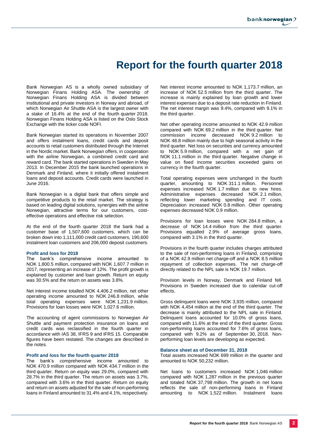# **Report for the fourth quarter 2018**

Bank Norwegian AS is a wholly owned subsidiary of Norwegian Finans Holding ASA. The ownership of Norwegian Finans Holding ASA is divided between institutional and private investors in Norway and abroad, of which Norwegian Air Shuttle ASA is the largest owner with a stake of 16.4% at the end of the fourth quarter 2018. Norwegian Finans Holding ASA is listed on the Oslo Stock Exchange with the ticker code NOFI.

Bank Norwegian started its operations in November 2007 and offers instalment loans, credit cards and deposit accounts to retail customers distributed through the Internet in the Nordic market. Bank Norwegian offers, in cooperation with the airline Norwegian, a combined credit card and reward card. The bank started operations in Sweden in May 2013. In December 2015 the bank launched operations in Denmark and Finland, where it initially offered instalment loans and deposit accounts. Credit cards were launched in June 2016.

Bank Norwegian is a digital bank that offers simple and competitive products to the retail market. The strategy is based on leading digital solutions, synergies with the airline Norwegian, attractive terms for our customers, costeffective operations and effective risk selection.

At the end of the fourth quarter 2018 the bank had a customer base of 1,507,600 customers, which can be broken down into 1,111,000 credit card customers, 190,600 instalment loan customers and 206,000 deposit customers.

#### **Profit and loss for 2018**

The bank's comprehensive income amounted to NOK 1,800.5 million, compared with NOK 1,607.7 million in 2017, representing an increase of 12%. The profit growth is explained by customer and loan growth. Return on equity was 30.5% and the return on assets was 3.8%.

Net interest income totalled NOK 4,406.2 million, net other operating income amounted to NOK 246.8 million, while total operating expenses were NOK 1,231.9 million. Provisions for loan losses were NOK 1,027.6 million.

The accounting of agent commissions to Norwegian Air Shuttle and payment protection insurance on loans and credit cards was reclassified in the fourth quarter in accordance with IAS 38, IFRS 9 and IFRS 15. Comparable figures have been restated. The changes are described in the notes.

### **Profit and loss for the fourth quarter 2018**

The bank's comprehensive income amounted to NOK 470.9 million compared with NOK 434.7 million in the third quarter. Return on equity was 29.0%, compared with 28.7% in the third quarter. The return on assets was 3.7%, compared with 3.6% in the third quarter. Return on equity and return on assets adjusted for the sale of non-performing loans in Finland amounted to 31.4% and 4.1%, respectively.

Net interest income amounted to NOK 1,173.7 million, an increase of NOK 52.5 million from the third quarter. The increase is mainly explained by loan growth and lower interest expenses due to a deposit rate reduction in Finland. The net interest margin was 9.4%, compared with 9.1% in the third quarter.

Net other operating income amounted to NOK 42.9 million compared with NOK 69.2 million in the third quarter. Net commission income decreased NOK 9.2 million to NOK 48.8 million mainly due to high seasonal activity in the third quarter. Net loss on securities and currency amounted to NOK 5.9 million, compared with a net gain of NOK 11.1 million in the third quarter. Negative change in value on fixed income securities exceeded gains on currency in the fourth quarter.

Total operating expenses were unchanged in the fourth quarter, amounting to NOK 311.1 million. Personnel expenses increased NOK 1.7 million due to new hires. Administrative expenses decreased NOK 2.1 million, reflecting lower marketing spending and IT costs. Depreciation increased NOK 0.8 million. Other operating expenses decreased NOK 0.9 million.

Provisions for loan losses were NOK 284.8 million, a decrease of NOK 14.4 million from the third quarter. Provisions equalled 2.9% of average gross loans, compared with 3.1% in the third quarter.

Provisions in the fourth quarter includes charges attributed to the sale of non-performing loans in Finland, comprising of a NOK 42.9 million net charge-off and a NOK 8.5 million repayment of collection expenses. The net charge-off directly related to the NPL sale is NOK 19.7 million.

Provision levels in Norway, Denmark and Finland fell. Provisions in Sweden increased due to calendar cut-off effects.

Gross delinquent loans were NOK 3,935 million, compared with NOK 4,454 million at the end of the third quarter. The decrease is mainly attributed to the NPL sale in Finland. Delinquent loans accounted for 10.0% of gross loans, compared with 11.6% at the end of the third quarter. Gross non-performing loans accounted for 7.6% of gross loans, compared with 9.2% as of September 30, 2018. Nonperforming loan levels are developing as expected.

### **Balance sheet as of December 31, 2018**

Total assets increased NOK 699 million in the quarter and amounted to NOK 50,232 million.

Net loans to customers increased NOK 1,046 million compared with NOK 1,287 million in the previous quarter and totaled NOK 37,798 million. The growth in net loans reflects the sale of non-performing loans in Finland amounting to NOK 1,522 million. Instalment loans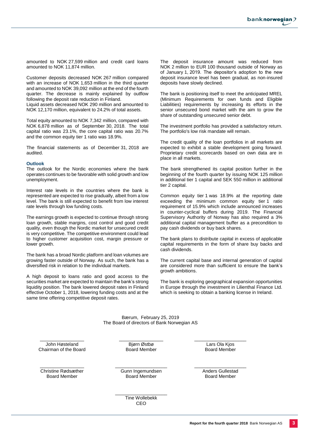amounted to NOK 27,599 million and credit card loans amounted to NOK 11,874 million.

Customer deposits decreased NOK 267 million compared with an increase of NOK 1,653 million in the third quarter and amounted to NOK 39,092 million at the end of the fourth quarter. The decrease is mainly explained by outflow following the deposit rate reduction in Finland.

Liquid assets decreased NOK 290 million and amounted to NOK 12,170 million, equivalent to 24.2% of total assets.

Total equity amounted to NOK 7,342 million, compared with NOK 6,878 million as of September 30, 2018. The total capital ratio was 23.1%, the core capital ratio was 20.7% and the common equity tier 1 ratio was 18.9%.

The financial statements as of December 31, 2018 are audited.

#### **Outlook**

The outlook for the Nordic economies where the bank operates continues to be favorable with solid growth and low unemployment.

Interest rate levels in the countries where the bank is represented are expected to rise gradually, albeit from a low level. The bank is still expected to benefit from low interest rate levels through low funding costs.

The earnings growth is expected to continue through strong loan growth, stable margins, cost control and good credit quality, even though the Nordic market for unsecured credit is very competitive. The competitive environment could lead to higher customer acquisition cost, margin pressure or lower growth.

The bank has a broad Nordic platform and loan volumes are growing faster outside of Norway. As such, the bank has a diversified risk in relation to the individual markets.

A high deposit to loans ratio and good access to the securities market are expected to maintain the bank's strong liquidity position. The bank lowered deposit rates in Finland effective October 1, 2018, lowering funding costs and at the same time offering competitive deposit rates.

The deposit insurance amount was reduced from NOK 2 million to EUR 100 thousand outside of Norway as of January 1, 2019. The depositor's adoption to the new deposit insurance level has been gradual, as non-insured deposits have slowly declined.

The bank is positioning itself to meet the anticipated MREL (Minimum Requirements for own funds and Eligible Liabilities) requirements by increasing its efforts in the senior unsecured bond market with the aim to grow the share of outstanding unsecured senior debt.

The investment portfolio has provided a satisfactory return. The portfolio's low risk mandate will remain.

The credit quality of the loan portfolios in all markets are expected to exhibit a stable development going forward. Proprietary credit scorecards based on own data are in place in all markets.

The bank strengthened its capital position further in the beginning of the fourth quarter by issuing NOK 125 million in additional tier 1 capital and SEK 550 million in additional tier 2 capital.

Common equity tier 1 was 18.9% at the reporting date exceeding the minimum common equity tier 1 ratio requirement of 15.9% which include announced increases in counter-cyclical buffers during 2019. The Financial Supervisory Authority of Norway has also required a 3% additional capital management buffer as a precondition to pay cash dividends or buy back shares.

The bank plans to distribute capital in excess of applicable capital requirements in the form of share buy backs and cash dividends.

The current capital base and internal generation of capital are considered more than sufficient to ensure the bank's growth ambitions.

The bank is exploring geographical expansion opportunities in Europe through the investment in Lilienthal Finance Ltd. which is seeking to obtain a banking license in Ireland.

Bærum, February 25, 2019 The Board of directors of Bank Norwegian AS

\_\_\_\_\_\_\_\_\_\_\_\_\_\_\_\_\_ John Høsteland Chairman of the Board \_\_\_\_\_\_\_\_\_\_\_\_\_\_\_\_\_ Bjørn Østbø Board Member

 $\overline{\phantom{a}}$  , which is a set of the set of the set of the set of the set of the set of the set of the set of the set of the set of the set of the set of the set of the set of the set of the set of the set of the set of th Lars Ola Kjos Board Member

\_\_\_\_\_\_\_\_\_\_\_\_\_\_\_\_\_ Christine Rødsæther Board Member

\_\_\_\_\_\_\_\_\_\_\_\_\_\_\_\_\_\_\_\_ Gunn Ingemundsen Board Member

\_\_\_\_\_\_\_\_\_\_\_\_\_\_\_\_\_\_\_\_ Anders Gullestad Board Member

\_\_\_\_\_\_\_\_\_\_\_\_\_\_\_\_\_\_\_\_ Tine Wollebekk CEO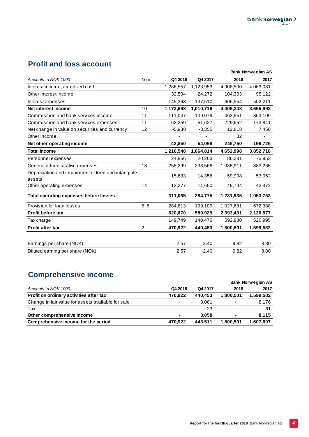# **Profit and loss account**

|                                                               |             |           |           |           | <b>Bank Norwegian AS</b> |
|---------------------------------------------------------------|-------------|-----------|-----------|-----------|--------------------------|
| Amounts in NOK 1000                                           | <b>Note</b> | Q4 2018   | Q4 2017   | 2018      | 2017                     |
| Interest income, amortized cost                               |             | 1,286,557 | 1,123,953 | 4,908,500 | 4,063,081                |
| Other interest income                                         |             | 32,504    | 24,272    | 104,303   | 95,122                   |
| Interest expenses                                             |             | 145,363   | 137,510   | 606,554   | 502,211                  |
| Net interest income                                           | 10          | 1,173,698 | 1,010,716 | 4,406,248 | 3,655,992                |
| Commission and bank services income                           | 11          | 111,047   | 109.079   | 463.551   | 363,109                  |
| Commission and bank services expenses                         | 11          | 62,259    | 51,627    | 229,652   | 173,841                  |
| Net change in value on securities and currency                | 12          | $-5,938$  | $-3,355$  | 12,818    | 7,458                    |
| Other income                                                  |             |           |           | 32        |                          |
| Net other operating income                                    |             | 42,850    | 54,098    | 246,750   | 196,726                  |
| <b>Total income</b>                                           |             | 1,216,548 | 1,064,814 | 4,652,998 | 3,852,718                |
| Personnel expenses                                            |             | 24,856    | 20,203    | 86,281    | 73,953                   |
| General administrative expenses                               | 13          | 258,299   | 238,566   | 1,035,911 | 883,265                  |
| Depreciation and impairment of fixed and intangible<br>assets |             | 15,633    | 14,356    | 59,998    | 53,062                   |
| Other operating expenses                                      | 14          | 12,277    | 11,650    | 49,744    | 43,472                   |
| <b>Total operating expenses before losses</b>                 |             | 311,065   | 284,775   | 1,231,935 | 1,053,753                |
| Provision for loan losses                                     | 5, 6        | 284,813   | 199,109   | 1,027,631 | 672,388                  |
| <b>Profit before tax</b>                                      |             | 620,670   | 580,929   | 2,393,431 | 2,126,577                |
| Tax charge                                                    |             | 149,749   | 140,476   | 592,930   | 526,995                  |
| <b>Profit after tax</b>                                       | 2           | 470,922   | 440,453   | 1,800,501 | 1,599,582                |
|                                                               |             |           |           |           |                          |
| Earnings per share (NOK)                                      |             | 2.57      | 2.40      | 9.82      | 8.80                     |
| Diluted earning per share (NOK)                               |             | 2.57      | 2.40      | 9.82      | 8.80                     |

# **Comprehensive income**

|                                                    |                          |         | <b>Bank Norwegian AS</b> |           |  |  |
|----------------------------------------------------|--------------------------|---------|--------------------------|-----------|--|--|
| Amounts in NOK 1000                                | Q4 2018                  | Q4 2017 | 2018                     | 2017      |  |  |
| Profit on ordinary activities after tax            | 470.922                  | 440.453 | 1,800,501                | 1,599,582 |  |  |
| Change in fair value for assets available for sale | ٠                        | 3.081   | $\overline{\phantom{0}}$ | 8.176     |  |  |
| Tax                                                | $\overline{\phantom{a}}$ | $-23$   | $\overline{\phantom{0}}$ | -61       |  |  |
| Other comprehensive income                         | ۰                        | 3.058   | ۰                        | 8.115     |  |  |
| Comprehensive income for the period                | 470.922                  | 443.511 | 1,800,501                | 1,607,697 |  |  |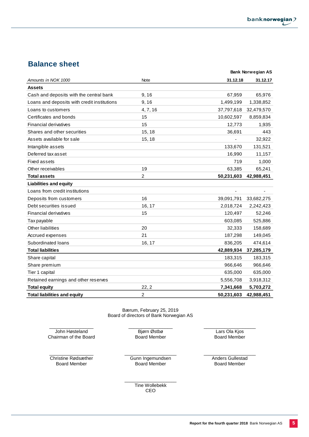# **Balance sheet**

|                                             |                |            | <b>Bank Norwegian AS</b> |
|---------------------------------------------|----------------|------------|--------------------------|
| Amounts in NOK 1000                         | <b>Note</b>    | 31.12.18   | 31.12.17                 |
| Assets                                      |                |            |                          |
| Cash and deposits with the central bank     | 9, 16          | 67,959     | 65,976                   |
| Loans and deposits with credit institutions | 9,16           | 1,499,199  | 1,338,852                |
| Loans to customers                          | 4, 7, 16       | 37,797,618 | 32,479,570               |
| Certificates and bonds                      | 15             | 10,602,597 | 8,859,834                |
| <b>Financial derivatives</b>                | 15             | 12,773     | 1,935                    |
| Shares and other securities                 | 15, 18         | 36,691     | 443                      |
| Assets available for sale                   | 15, 18         |            | 32,922                   |
| Intangible assets                           |                | 133,670    | 131,521                  |
| Deferred tax asset                          |                | 16,990     | 11,157                   |
| <b>Fixed assets</b>                         |                | 719        | 1,000                    |
| Other receivables                           | 19             | 63,385     | 65,241                   |
| <b>Total assets</b>                         | $\overline{c}$ | 50,231,603 | 42,988,451               |
| <b>Liabilities and equity</b>               |                |            |                          |
| Loans from credit institutions              |                |            |                          |
| Deposits from customers                     | 16             | 39,091,791 | 33,682,275               |
| Debt securities issued                      | 16, 17         | 2,018,724  | 2,242,423                |
| <b>Financial derivatives</b>                | 15             | 120,497    | 52,246                   |
| Tax payable                                 |                | 603,085    | 525,886                  |
| Other liabilities                           | 20             | 32,333     | 158,689                  |
| Accrued expenses                            | 21             | 187,298    | 149,045                  |
| Subordinated loans                          | 16, 17         | 836,205    | 474,614                  |
| <b>Total liabilities</b>                    |                | 42,889,934 | 37,285,179               |
| Share capital                               |                | 183,315    | 183,315                  |
| Share premium                               |                | 966,646    | 966,646                  |
| Tier 1 capital                              |                | 635,000    | 635,000                  |
| Retained earnings and other reserves        |                | 5,556,708  | 3,918,312                |
| <b>Total equity</b>                         | 22, 2          | 7,341,668  | 5,703,272                |
| <b>Total liabilities and equity</b>         | $\overline{c}$ | 50,231,603 | 42,988,451               |

Bærum, February 25, 2019 Board of directors of Bank Norwegian AS

\_\_\_\_\_\_\_\_\_\_\_\_\_\_\_\_\_ John Høsteland Chairman of the Board \_\_\_\_\_\_\_\_\_\_\_\_\_\_\_\_\_ Bjørn Østbø Board Member

\_\_\_\_\_\_\_\_\_\_\_\_\_\_\_\_\_ Christine Rødsæther Board Member

\_\_\_\_\_\_\_\_\_\_\_\_\_\_\_\_\_\_\_\_ Gunn Ingemundsen Board Member

Lars Ola Kjos Board Member

\_\_\_\_\_\_\_\_\_\_\_\_\_\_\_\_\_\_\_\_

\_\_\_\_\_\_\_\_\_\_\_\_\_\_\_\_\_\_\_\_ Anders Gullestad Board Member

\_\_\_\_\_\_\_\_\_\_\_\_\_\_\_\_\_\_\_\_ Tine Wollebekk CEO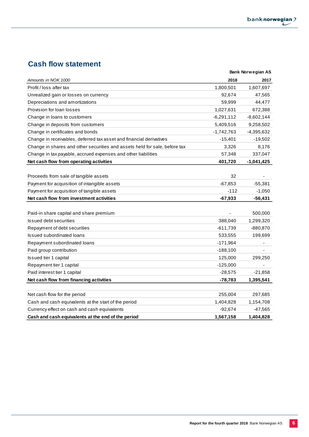# **Cash flow statement**

|                                                                            |              | <b>Bank Norwegian AS</b> |
|----------------------------------------------------------------------------|--------------|--------------------------|
| Amounts in NOK 1000                                                        | 2018         | 2017                     |
| Profit / loss after tax                                                    | 1,800,501    | 1,607,697                |
| Unrealized gain or losses on currency                                      | 92,674       | 47,565                   |
| Depreciations and amortizations                                            | 59,999       | 44,477                   |
| Provision for loan losses                                                  | 1,027,631    | 672,388                  |
| Change in loans to customers                                               | $-6,291,112$ | $-8,602,144$             |
| Change in deposits from customers                                          | 5,409,516    | 9,258,502                |
| Change in certificates and bonds                                           | $-1,742,763$ | -4,395,632               |
| Change in receivables, deferred tax asset and financial derivatives        | $-15,401$    | $-19,502$                |
| Change in shares and other securities and assets held for sale, before tax | 3,326        | 8,176                    |
| Change in tax payable, accrued expenses and other liabilities              | 57,348       | 337,047                  |
| Net cash flow from operating activities                                    | 401,720      | $-1,041,425$             |
|                                                                            |              |                          |
| Proceeds from sale of tangible assets                                      | 32           |                          |
| Payment for acquisition of intangible assets                               | $-67,853$    | $-55,381$                |
| Payment for acquisition of tangible assets                                 | $-112$       | $-1,050$                 |
| Net cash flow from investment activities                                   | $-67,933$    | $-56,431$                |
|                                                                            |              |                          |
| Paid-in share capital and share premium                                    |              | 500,000                  |
| Issued debt securities                                                     | 388,040      | 1,299,320                |
| Repayment of debt securities                                               | $-611,739$   | -880,870                 |
| Issued subordinated loans                                                  | 533,555      | 199,699                  |
| Repayment subordinated loans                                               | $-171,964$   |                          |
| Paid group contribution                                                    | $-188,100$   |                          |
| Issued tier 1 capital                                                      | 125,000      | 299,250                  |
| Repayment tier 1 capital                                                   | $-125,000$   |                          |
| Paid interest tier 1 capital                                               | $-28,575$    | $-21,858$                |
| Net cash flow from financing activities                                    | -78,783      | 1,395,541                |
|                                                                            |              |                          |
| Net cash flow for the period                                               | 255,004      | 297,685                  |
| Cash and cash equivalents at the start of the period                       | 1,404,828    | 1,154,708                |
| Currency effect on cash and cash equivalents                               | $-92,674$    | -47,565                  |
| Cash and cash equivalents at the end of the period                         | 1,567,158    | 1,404,828                |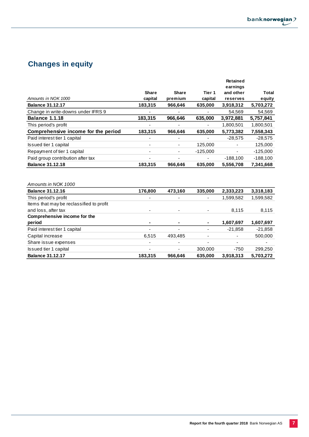# **Changes in equity**

|                                          |         |         |            | <b>Retained</b><br>earnings |              |
|------------------------------------------|---------|---------|------------|-----------------------------|--------------|
|                                          | Share   | Share   | Tier 1     | and other                   | <b>Total</b> |
| Amounts in NOK 1000                      | capital | premium | capital    | reserves                    | equity       |
| <b>Balance 31.12.17</b>                  | 183,315 | 966,646 | 635,000    | 3,918,312                   | 5,703,272    |
| Change in write-downs under IFRS 9       |         |         |            | 54,569                      | 54,569       |
| <b>Balance 1.1.18</b>                    | 183,315 | 966,646 | 635,000    | 3,972,881                   | 5,757,841    |
| This period's profit                     |         |         |            | 1,800,501                   | 1,800,501    |
| Comprehensive income for the period      | 183,315 | 966,646 | 635,000    | 5,773,382                   | 7,558,343    |
| Paid interest tier 1 capital             |         |         |            | $-28,575$                   | $-28,575$    |
| Issued tier 1 capital                    |         |         | 125,000    |                             | 125,000      |
| Repayment of tier 1 capital              |         |         | $-125,000$ | $\overline{\phantom{0}}$    | $-125,000$   |
| Paid group contribution after tax        |         |         |            | $-188,100$                  | $-188,100$   |
| <b>Balance 31.12.18</b>                  | 183,315 | 966,646 | 635,000    | 5,556,708                   | 7,341,668    |
| Amounts in NOK 1000                      |         |         |            |                             |              |
| <b>Balance 31.12.16</b>                  | 176,800 | 473,160 | 335,000    | 2,333,223                   | 3,318,183    |
| This period's profit                     |         |         |            | 1,599,582                   | 1,599,582    |
| Items that may be reclassified to profit |         |         |            |                             |              |
| and loss, after tax                      |         |         |            | 8,115                       | 8,115        |
| Comprehensive income for the             |         |         |            |                             |              |
| period                                   | ۰       |         | ۰          | 1,607,697                   | 1,607,697    |
| Paid interest tier 1 capital             |         |         |            | $-21,858$                   | $-21,858$    |
| Capital increase                         | 6,515   | 493,485 |            |                             | 500,000      |
| Share issue expenses                     |         |         |            | ٠                           |              |
| Issued tier 1 capital                    |         |         | 300,000    | $-750$                      | 299,250      |
| <b>Balance 31.12.17</b>                  | 183,315 | 966,646 | 635,000    | 3,918,313                   | 5,703,272    |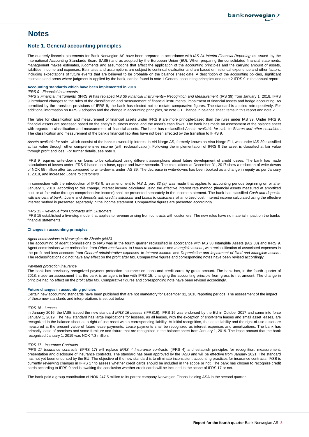# **Notes**

## **Note 1. General accounting principles**

The quarterly financial statements for Bank Norwegian AS have been prepared in accordance with *IAS 34 Interim Financial Reporting* as issued by the International Accounting Standards Board (IASB) and as adopted by the European Union (EU). When preparing the consolidated financial statements, management makes estimates, judgments and assumptions that affect the application of the accounting principles and the carrying amount of assets, liabilities, income and expenses. Estimates and assumptions are subject to continual evaluation and are based on historical experience and other factors, including expectations of future events that are believed to be probable on the balance sheet date. A description of the accounting policies, significant estimates and areas where judgment is applied by the bank, can be found in note 1 General accounting principles and note 2 IFRS 9 in the annual report

#### **Accounting standards which have been implemented in 2018**

#### *IFRS 9 - Financial Instruments*

*IFRS 9 Financial Instruments* (IFRS 9) has replaced *IAS 39 Financial Instruments– Recognition and Measurement* (IAS 39) from January 1, 2018. IFRS 9 introduced changes to the rules of the classification and measurement of financial instruments, impairment of financial assets and hedge accounting. As permitted by the transition provisions of IFRS 9, the bank has elected not to restate comparative figures. The standard is applied retrospectively. For additional information on IFRS 9 adoption and the change in accounting principles, se note 3.1 Change in balance sheet items in this report and note 2

The rules for classification and measurement of financial assets under IFRS 9 are more principle-based than the rules under IAS 39. Under IFRS 9, financial assets are assessed based on the entity's business model and the asset's cash flows. The bank has made an assessment of the balance sheet with regards to classification and measurement of financial assets. The bank has reclassified *Assets available for sale* to *Shares and other securities* . The classification and measurement of the bank's financial liabilities have not been affected by the transition to IFRS 9.

*Assets available for sale* , which consist of the bank's ownership interest in VN Norge AS, formerly known as Visa Norge FLI, was under IAS 39 classified at fair value through other comprehensive income (with reclassification). Following the implementation of IFRS 9 the asset is classified at fair value through profit and loss. For further details, see note 3.

IFRS 9 requires write-downs on loans to be calculated using different assumptions about future development of credit losses. The bank has made calculations of losses under IFRS 9 based on a base, upper and lower scenario. The calculations at December 31, 2017 show a reduction of write-downs of NOK 55 million after tax compared to write-downs under IAS 39. The decrease in write-downs has been booked as a change in equity as per January 1, 2018, and increased *Loans to customers* .

In connection with the introduction of IFRS 9, an amendment to *IAS 1, par. 82 (a)* was made that applies to accounting periods beginning on or after January 1, 2018. According to this change, interest income calculated using the effective interest rate method (financial assets measured at amortized cost or at fair value through comprehensive income) shall be presented separately in the income statement. The bank has classified *Cash and deposits* with the central bank, Loans and deposits with credit institutions and Loans to customers at amortized cost. Interest income calculated using the effective interest method is presented separately in the income statement. Comparative figures are presented accordingly.

*IFRS 15 - Revenue from Contracts with Customers*

IFRS 15 established a five-step model that applies to revenue arising from contracts with customers. The new rules have no material impact on the banks financial statements.

### **Changes in accounting principles**

#### *Agent commissions to Norwegian Air Shuttle (NAS)*

The accounting of agent commissions to NAS was in the fourth quarter reclassified in accordance with IAS 38 Intangible Assets (IAS 38) and IFRS 9. Agent commissions were reclassified from *Other receivables* to *Loans to customers* and *Intangible assets* , with reclassification of associated expenses in the profit and loss accounts from General administrative expenses to Interest income and Depreciation and impairment of fixed and intangible assets. The reclassifications did not have any effect on the profit after tax. Comparative figures and corresponding notes have been revised accordingly.

#### *Payment protection insurance*

The bank has previously recognized payment protection insurance on loans and credit cards by gross amount. The bank has, in the fourth quarter of 2018, made an assessment that the bank is an agent in line with IFRS 15, changing the accounting principle from gross to net amount. The change in principle had no effect on the profit after tax. Comparative figures and corresponding note have been revised accordingly.

#### **Future changes in accounting policies**

Certain new accounting standards have been published that are not mandatory for December 31, 2018 reporting periods. The assessment of the impact of these new standards and interpretations is set out below.

#### *IFRS 16 - Leases*

In January 2016, the IASB issued the new standard *IFRS 16 Leases* (IFRS16). IFRS 16 was endorsed by the EU in October 2017 and came into force January 1, 2019. The new standard has large implications for lessees, as all leases, with the exception of short-term leases and small asset leases, are recognized in the balance sheet as a right-of-use asset with a corresponding liability. At initial recognition, the lease liability and the right-of-use asset are measured at the present value of future lease payments. Lease payments shall be recognized as interest expenses and amortizations. The bank has primarily lease of premises and some furniture and fixture that are recognized in the balance sheet from January 1, 2019. The lease amount that the bank recognized January 1, 2019 was NOK 7.3 million.

#### *IFRS 17 - Insurance Contracts*

*IFRS 17 Insurance contracts* (IFRS 17) will replace *IFRS 4 Insurance contracts* (IFRS 4) and establish principles for recognition, measurement, presentation and disclosure of insurance contracts. The standard has been approved by the IASB and will be effective from January 2021. The standard has not yet been endorsed by the EU. The objective of the new standard is to eliminate inconsistent accounting practices for insurance contracts. IASB is currently reviewing changes in IFRS 17 to assess whether credit cards should be included in the scope or not. The bank has chosen to recognize credit cards according to IFRS 9 and is awaiting the conclusion whether credit cards will be included in the scope of IFRS 17 or not.

The bank paid a group contribution of NOK 247.5 million to its parent company Norwegian Finans Holding ASA in the second quarter.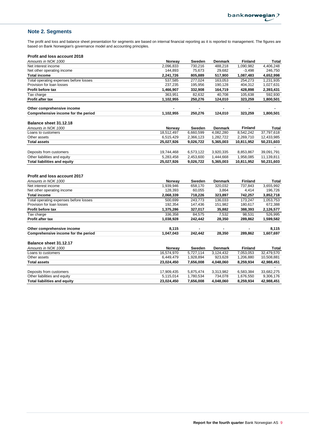# **Note 2. Segments**

The profit and loss and balance sheet presentation for segments are based on internal financial reporting as it is reported to management. The figures are based on Bank Norwegian's governance model and accounting principles.

## **Profit and loss account 2018**

| r i vill anu luss accuuil zu lu          |                                 |           |                |                |            |
|------------------------------------------|---------------------------------|-----------|----------------|----------------|------------|
| Amounts in NOK 1000                      | Norway                          | Sweden    | <b>Denmark</b> | <b>Finland</b> | Total      |
| Net interest income                      | 2.096.833                       | 730.216   | 488.218        | 1,090,982      | 4,406,248  |
| Net other operating income               | 144.893                         | 75,673    | 29,682         | $-3,498$       | 246,750    |
| <b>Total income</b>                      | 2,241,726                       | 805,889   | 517,900        | 1,087,483      | 4,652,998  |
| Total operating expenses before losses   | 537.585                         | 277.024   | 163.053        | 254.273        | 1,231,935  |
| Provision for loan losses                | 237,235                         | 195.956   | 190.128        | 404,312        | 1,027,631  |
| <b>Profit before tax</b>                 | 1,466,907                       | 332.908   | 164.719        | 428.898        | 2,393,431  |
| Tax charge                               | 363.951                         | 82,632    | 40.708         | 105,638        | 592,930    |
| <b>Profit after tax</b>                  | 1,102,955                       | 250,276   | 124.010        | 323,259        | 1,800,501  |
| Other comprehensive income               |                                 |           |                |                |            |
| Comprehensive income for the period      | 1,102,955                       | 250,276   | 124,010        | 323,259        | 1,800,501  |
| Balance sheet 31.12.18                   |                                 |           |                |                |            |
| Amounts in NOK 1000                      | Norway                          | Sweden    | <b>Denmark</b> | <b>Finland</b> | Total      |
| Loans to customers                       | 18,512,497                      | 6.660.599 | 4,082,280      | 8.542.242      | 37,797,618 |
| $Oth$ $\sim$ $\sim$ $\sim$ $\sim$ $\sim$ | $C$ $E$ <sub>4</sub> $E$ $A$ 00 | 2.200112  | 1.000.700      | $2.200$ $740$  | 10.12200   |

| Other assets                 | 6.515.429  | 2.366.123 | 1.282.722 | 2.269.710  | 12.433.985 |
|------------------------------|------------|-----------|-----------|------------|------------|
| <b>Total assets</b>          | 25.027.926 | 9.026.722 | 5.365.003 | 10.811.952 | 50.231.603 |
|                              |            |           |           |            |            |
| Deposits from customers      | 19.744.468 | 6.573.122 | 3.920.335 | 8.853.867  | 39.091.791 |
| Other liabilities and equity | 5.283.458  | 2.453.600 | 1.444.668 | 1.958.085  | 11.139.811 |
| Total liabilities and equity | 25.027.926 | 9.026.722 | 5.365.003 | 10.811.952 | 50.231.603 |

#### **Profit and loss account 2017**

| Amounts in NOK 1000                    | <b>Norway</b> | Sweden    | <b>Denmark</b> | Finland        | Total      |
|----------------------------------------|---------------|-----------|----------------|----------------|------------|
| Net interest income                    | 1,939,946     | 658,170   | 320.032        | 737.843        | 3,655,992  |
| Net other operating income             | 128,393       | 60,055    | 3,864          | 4,414          | 196,726    |
| <b>Total income</b>                    | 2,068,339     | 718,226   | 323,897        | 742,257        | 3,852,718  |
| Total operating expenses before losses | 500.699       | 243.773   | 136.033        | 173.247        | 1,053,753  |
| Provision for loan losses              | 192,354       | 147,436   | 151,982        | 180,617        | 672,388    |
| <b>Profit before tax</b>               | 1,375,286     | 327,017   | 35,882         | 388,393        | 2,126,577  |
| Tax charge                             | 336,358       | 84,575    | 7,532          | 98,531         | 526,995    |
| <b>Profit after tax</b>                | 1,038,928     | 242,442   | 28,350         | 289,862        | 1,599,582  |
| Other comprehensive income             | 8,115         |           |                | ۰              | 8,115      |
| Comprehensive income for the period    | 1,047,043     | 242,442   | 28,350         | 289,862        | 1,607,697  |
| Balance sheet 31.12.17                 |               |           |                |                |            |
| Amounts in NOK 1000                    | Norway        | Sweden    | <b>Denmark</b> | <b>Finland</b> | Total      |
| Loans to customers                     | 16.574.970    | 5,727,114 | 3,124,432      | 7,053,053      | 32,479,570 |
| Other assets                           | 6,449,479     | 1,928,894 | 923,628        | 1,206,880      | 10,508,881 |
| <b>Total assets</b>                    | 23,024,450    | 7,656,008 | 4,048,060      | 8,259,934      | 42,988,451 |
|                                        |               |           |                |                |            |

| Total liabilities and equity | 23.024.450 | 7.656.008 | 4.048.060 | 8.259.934 | 42.988.451 |
|------------------------------|------------|-----------|-----------|-----------|------------|
| Other liabilities and equity | 5.115.014  | 1.780.534 | 734.078   | 1.676.550 | 9.306.176  |
| Deposits from customers      | 17.909.435 | 5.875.474 | 3.313.982 | 6.583.384 | 33,682,275 |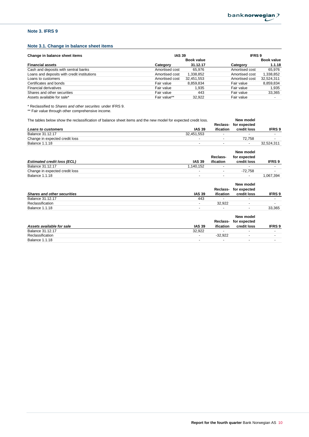## **Note 3. IFRS 9**

## **Note 3.1. Change in balance sheet items**

| Change in balance sheet items               | <b>IAS 39</b>  |            | <b>IFRS9</b>   |                          |  |
|---------------------------------------------|----------------|------------|----------------|--------------------------|--|
|                                             |                | Book value |                | Book value               |  |
| <b>Financial assets</b>                     | Category       | 31.12.17   | Category       | 1.1.18                   |  |
| Cash and deposits with sentral banks        | Amortised cost | 65.976     | Amortised cost | 65.976                   |  |
| Loans and deposits with credit institutions | Amortised cost | 1,338,852  | Amortised cost | 1,338,852                |  |
| Loans to customers                          | Amortised cost | 32,451,553 | Amortised cost | 32,524,311               |  |
| Certificates and bonds                      | Fair value     | 8.859.834  | Fair value     | 8,859,834                |  |
| <b>Financial derivatives</b>                | Fair value     | 1.935      | Fair value     | 1.935                    |  |
| Shares and other securities                 | Fair value     | 443        | Fair value     | 33,365                   |  |
| Assets available for sale*                  | Fair value**   | 32.922     | Fair value     | $\overline{\phantom{a}}$ |  |

\* Reclassified to *Shares and other securites* under IFRS 9.

\*\* Fair value through other comprehensive income.

| The tables below show the reclassification of balance sheet items and the new model for expected credit loss. |                          | New model                |               |
|---------------------------------------------------------------------------------------------------------------|--------------------------|--------------------------|---------------|
|                                                                                                               | Reclass-                 | for expected             |               |
| <b>IAS 39</b><br><b>Loans to customers</b>                                                                    | ification                | credit loss              | <b>IFRS 9</b> |
| Balance 31.12.17<br>32,451,553                                                                                |                          |                          |               |
| Change in expected credit loss<br>$\blacksquare$                                                              | $\overline{\phantom{a}}$ | 72,758                   |               |
| <b>Balance 1.1.18</b>                                                                                         |                          |                          | 32,524,311    |
|                                                                                                               |                          | New model                |               |
|                                                                                                               | Reclass-                 | for expected             |               |
| <b>Estimated credit loss (ECL)</b><br><b>IAS 39</b>                                                           | ification                | credit loss              | <b>IFRS 9</b> |
| Balance 31.12.17<br>1,140,152                                                                                 | $\overline{\phantom{a}}$ | ٠                        |               |
| Change in expected credit loss<br>$\blacksquare$                                                              | $\overline{\phantom{a}}$ | $-72,758$                |               |
| <b>Balance 1.1.18</b>                                                                                         |                          |                          | 1,067,394     |
|                                                                                                               |                          | New model                |               |
|                                                                                                               | Reclass-                 | for expected             |               |
| <b>IAS 39</b><br><b>Shares and other securities</b>                                                           | <i>ification</i>         | credit loss              | <b>IFRS 9</b> |
| <b>Balance 31.12.17</b><br>443                                                                                |                          | $\overline{\phantom{0}}$ |               |
| Reclassification<br>$\overline{\phantom{a}}$                                                                  | 32,922                   | $\overline{\phantom{a}}$ |               |
| <b>Balance 1.1.18</b>                                                                                         |                          | $\overline{\phantom{0}}$ | 33,365        |
|                                                                                                               |                          | New model                |               |
|                                                                                                               | Reclass-                 | for expected             |               |

|                           |                          | .         | .                        |        |
|---------------------------|--------------------------|-----------|--------------------------|--------|
| Assets available for sale | <b>IAS 39</b>            | ification | credit loss              | IFRS 9 |
| Balance 31.12.17          | 32.922                   |           | $\overline{\phantom{0}}$ |        |
| Reclassification          | $\overline{\phantom{a}}$ | $-32.922$ |                          |        |
| Balance 1.1.18            |                          |           | $\overline{\phantom{a}}$ |        |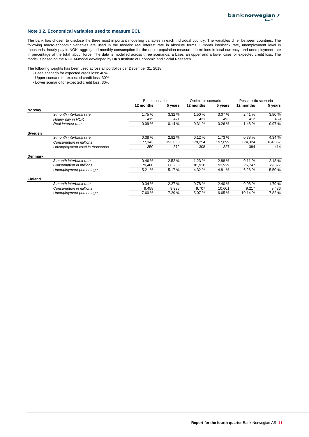## **Note 3.2. Economical variables used to measure ECL**

The bank has chosen to disclose the three most important modelling variables in each individual country. The variables differ between countries. The following macro-economic variables are used in the models: real interest rate in absolute terms, 3-month interbank rate, unemployment level in thousands, hourly pay in NOK, aggregated monthly consumption for the entire population measured in millions in local currency, and unemployment rate in percentage of the total labour force. The data is modelled across three scenarios: a base, an upper and a lower case for expected credit loss. The model is based on the NiGEM-model developed by UK's Institute of Economic and Social Research.

The following weights has been used across all portfolios per December 31, 2018:

- Base scenario for expected credit loss: 40%
- Upper scenario for expected credit loss: 30%
- Lower scenario for expected credit loss: 30%

|                |                                 | Base scenario |         | Optimistic scenario |          | Pessimistic scenario |         |
|----------------|---------------------------------|---------------|---------|---------------------|----------|----------------------|---------|
|                |                                 | 12 months     | 5 years | 12 months           | 5 years  | 12 months            | 5 years |
| Norway         |                                 |               |         |                     |          |                      |         |
|                | 3-month interbank rate          | 1.75 %        | 3.32%   | 1.50 %              | 3.07%    | 2.41 %               | 3.80%   |
|                | Hourly pay in NOK               | 415           | 471     | 421                 | 493      | 412                  | 459     |
|                | Real interest rate              | 0.09%         | 0.14%   | $-0.31%$            | $-0.26%$ | 1.48 %               | 0.97%   |
| Sweden         |                                 |               |         |                     |          |                      |         |
|                | 3-month interbank rate          | 0.38%         | 2.82%   | 0.12%               | 1.73 %   | 0.78%                | 4.34 %  |
|                | Consumption in millions         | 177,143       | 193,058 | 179,254             | 197,699  | 174,324              | 184,867 |
|                | Unemployment level in thousands | 350           | 372     | 308                 | 327      | 384                  | 414     |
| <b>Denmark</b> |                                 |               |         |                     |          |                      |         |
|                | 3-month interbank rate          | 0.46%         | 2.52%   | 1.23%               | 2.88%    | 0.11%                | 2.18%   |
|                | Consumption in millions         | 79,400        | 86,233  | 81,910              | 93,929   | 76,747               | 79,377  |
|                | Unemployment percentage         | 5.21 %        | 5.17 %  | 4.32 %              | 4.81 %   | 6.26%                | 5.50 %  |
| <b>Finland</b> |                                 |               |         |                     |          |                      |         |
|                | 3-month interbank rate          | 0.34%         | 2.27%   | 0.78%               | 2.40 %   | $-0.08%$             | 1.79%   |
|                | Consumption in millions         | 9,458         | 9,995   | 9,707               | 10,601   | 9,217                | 9,436   |
|                | Unemployment percentage         | 7.60%         | 7.29 %  | 5.07%               | 6.65%    | 10.14 %              | 7.82%   |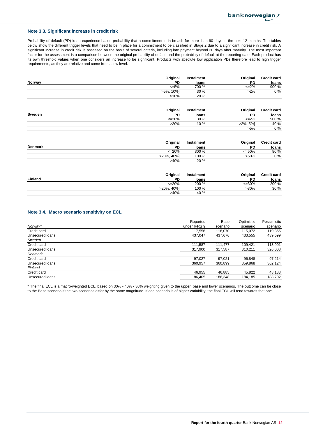## **Note 3.3. Significant increase in credit risk**

Probability of default (PD) is an experience-based probability that a commitment is in breach for more than 90 days in the next 12 months. The tables below show the different trigger levels that need to be in place for a commitment to be classified in Stage 2 due to a significant increase in credit risk. A significant increase in credit risk is assessed on the basis of several criteria, including late payment beyond 30 days after maturity. The most important factor for the assessment is a comparison between the original probability of default and the probability of default at the reporting date. Each product has its own threshold values when one considers an increase to be significant. Products with absolute low application PDs therefore lead to high trigger requirements, as they are relative and come from a low level.

|        | Original     | Instalment | Original  | <b>Credit card</b> |
|--------|--------------|------------|-----------|--------------------|
| Norway | PD           | loans      | PD        | loans              |
|        | $\leq 5\%$   | 700 %      | $\leq$ 2% | 900 %              |
|        | 10%1<br>>5%. | 30%        | $>2\%$    | 0 %                |
|        | >10%         | 20 %       |           |                    |

| Original     | Instalment | Original    | <b>Credit card</b> |
|--------------|------------|-------------|--------------------|
| Sweden<br>PD | loans      | PD          | loans              |
| $\leq$ 20%   | 30%        | $\leq$ 2%   | 900 %              |
| $>20\%$      | 10 %       | $>2\%$ , 5% | 40 %               |
|              |            | $>5\%$      | $0\%$              |

|         | Original      | Instalment | Original    | <b>Credit card</b> |
|---------|---------------|------------|-------------|--------------------|
| Denmark | PD            | loans      | PD          | loans              |
|         | $\leq$ 20%    | 300 %      | $\leq 50\%$ | 80 %               |
|         | $>20\%$ , 40% | 100 %      | $>50\%$     | $0\%$              |
|         | >40%          | 20%        |             |                    |

|                | Original      | Instalment | Original  | <b>Credit card</b> |
|----------------|---------------|------------|-----------|--------------------|
| <b>Finland</b> | PD            | loans      | <b>PD</b> | loans              |
|                | $\leq$ 20%    | 200 %      | $<=30\%$  | 200 %              |
|                | $>20\%$ , 40% | 100 %      | $>30\%$   | 30%                |
|                | >40%          | 40 %       |           |                    |
|                |               |            |           |                    |

## **Note 3.4. Macro scenario sensitivity on ECL**

|                 | Reported     | Base     | Optimistic | Pessimistic |
|-----------------|--------------|----------|------------|-------------|
| Norway*         | under IFRS 9 | scenario | scenario   | scenario    |
| Credit card     | 117,556      | 118,070  | 115,072    | 119,355     |
| Unsecured loans | 437.047      | 437.676  | 433,555    | 439,699     |
| Sweden          |              |          |            |             |
| Credit card     | 111.587      | 111.477  | 109.421    | 113,901     |
| Unsecured loans | 317.900      | 317.587  | 310.211    | 326,008     |
| Denmark         |              |          |            |             |
| Credit card     | 97,027       | 97.021   | 96,848     | 97.214      |
| Unsecured loans | 360,957      | 360,899  | 359,868    | 362,124     |
| Finland         |              |          |            |             |
| Credit card     | 46,955       | 46,885   | 45,822     | 48,183      |
| Unsecured loans | 186.405      | 186,348  | 184,185    | 188,702     |

\* The final ECL is a macro-weighted ECL, based on 30% - 40% - 30% weighting given to the upper, base and lower scenarios. The outcome can be close to the Base scenario if the two scenarios differ by the same magnitude. If one scenario is of higher variability, the final ECL will tend towards that one.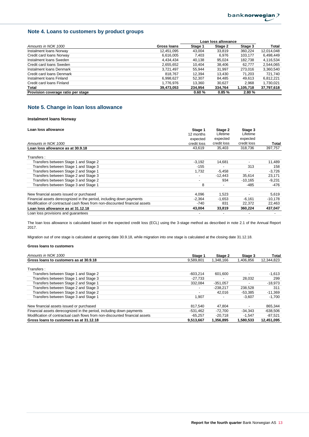## **Note 4. Loans to customers by product groups**

|                                    |             | Loan loss allowance |         |           |            |
|------------------------------------|-------------|---------------------|---------|-----------|------------|
| Amounts in NOK 1000                | Gross Ioans | Stage 1             | Stage 2 | Stage 3   | Total      |
| Instalment Ioans Norway            | 12,451,095  | 43.004              | 33,819  | 360.224   | 12,014,048 |
| Credit card loans Norway           | 6,616,005   | 7.403               | 6.976   | 103.177   | 6,498,449  |
| Instalment Ioans Sweden            | 4,434,434   | 40.138              | 95,024  | 182.738   | 4,116,534  |
| Credit card loans Sweden           | 2,655,652   | 10.404              | 38.406  | 62.777    | 2,544,065  |
| Instalment Ioans Denmark           | 3.721.497   | 55.944              | 31.997  | 273.016   | 3,360,540  |
| Credit card loans Denmark          | 818.767     | 12,394              | 13,430  | 71,203    | 721,740    |
| Instalment Ioans Finland           | 6.998.627   | 52.307              | 84.485  | 49.613    | 6,812,221  |
| Credit card loans Finland          | 1,776,976   | 13.360              | 30.627  | 2.968     | 1,730,021  |
| Total                              | 39,473,053  | 234.954             | 334,764 | 1,105,718 | 37,797,618 |
| Provision coverage ratio per stage |             | 0.60%               | 0.85%   | 2.80%     |            |

## **Note 5. Change in loan loss allowance**

### **Instalment loans Norway**

| Loan loss allowance                                                         | Stage 1<br>12 months | Stage 2<br>Lifetime | Stage 3<br>Lifetime |           |
|-----------------------------------------------------------------------------|----------------------|---------------------|---------------------|-----------|
|                                                                             | expected             | expected            | expected            |           |
| Amounts in NOK 1000                                                         | credit loss          | credit loss         | credit loss         | Total     |
| Loan loss allowance as at 30.9.18                                           | 43,619               | 35,403              | 318.736             | 397,757   |
| Transfers:                                                                  |                      |                     |                     |           |
| Transfers between Stage 1 and Stage 2                                       | $-3,192$             | 14,681              |                     | 11,489    |
| Transfers between Stage 1 and Stage 3                                       | $-155$               |                     | 313                 | 158       |
| Transfers between Stage 2 and Stage 1                                       | 1,732                | $-5,458$            |                     | $-3,726$  |
| Transfers between Stage 2 and Stage 3                                       |                      | $-12,443$           | 35,614              | 23,171    |
| Transfers between Stage 3 and Stage 2                                       |                      | 934                 | $-10,165$           | $-9,231$  |
| Transfers between Stage 3 and Stage 1                                       | 8                    |                     | -485                | -476      |
| New financial assets issued or purchased                                    | 4,096                | 1.523               |                     | 5,619     |
| Financial assets derecognized in the period, including down payments        | $-2,364$             | $-1,653$            | $-6,161$            | $-10,178$ |
| Modification of contractual cash flows from non-discounted financial assets | -740                 | 831                 | 22,372              | 22,463    |
| Loan loss allowance as at 31.12.18                                          | 43,004               | 33,819              | 360,224             | 437,047   |
| Loan loss provisions and quarantees                                         |                      |                     |                     |           |

The loan loss allowance is calculated based on the expected credit loss (ECL) using the 3-stage method as described in note 2.1 of the Annual Report 2017.

Migration out of one stage is calculated at opening date 30.9.18, while migration into one stage is calculated at the closing date 31.12.18.

| Amounts in NOK 1000                                                         | Stage 1    | Stage 2    | Stage 3   | Total      |
|-----------------------------------------------------------------------------|------------|------------|-----------|------------|
| Gross loans to customers as at 30.9.18                                      | 9,589,801  | 1,348,166  | 1,406,856 | 12,344,823 |
| Transfers:                                                                  |            |            |           |            |
| Transfers between Stage 1 and Stage 2                                       | $-603.214$ | 601.600    |           | $-1,613$   |
| Transfers between Stage 1 and Stage 3                                       | $-27.733$  |            | 28.032    | 299        |
| Transfers between Stage 2 and Stage 1                                       | 332,084    | $-351,057$ |           | $-18,973$  |
| Transfers between Stage 2 and Stage 3                                       |            | $-238.217$ | 238,528   | 311        |
| Transfers between Stage 3 and Stage 2                                       |            | 42.016     | $-53.385$ | $-11,369$  |
| Transfers between Stage 3 and Stage 1                                       | 1,907      |            | $-3.607$  | $-1,700$   |
| New financial assets issued or purchased                                    | 817.540    | 47.804     |           | 865.344    |
| Financial assets derecognized in the period, including down payments        | $-531.462$ | $-72.700$  | $-34.343$ | $-638.506$ |
| Modification of contractual cash flows from non-discounted financial assets | $-65.257$  | -20.718    | $-1.547$  | -87,521    |
| Gross loans to customers as at 31.12.18                                     | 9.513.667  | 1.356.895  | 1.580.533 | 12.451.095 |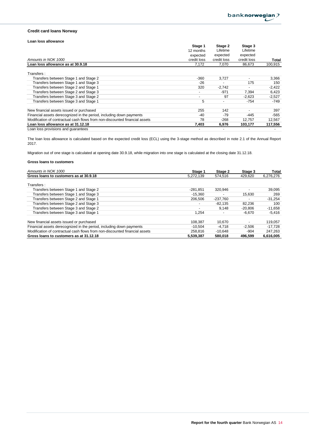## **Credit card loans Norway**

## **Loan loss allowance**

|                                                                             | Stage 1                  | Stage 2     | Stage 3     |          |
|-----------------------------------------------------------------------------|--------------------------|-------------|-------------|----------|
|                                                                             | 12 months                | Lifetime    | Lifetime    |          |
|                                                                             | expected                 | expected    | expected    |          |
| Amounts in NOK 1000                                                         | credit loss              | credit loss | credit loss | Total    |
| Loan loss allowance as at 30.9.18                                           | 7,172                    | 7,070       | 86,673      | 100,915  |
| Transfers:                                                                  |                          |             |             |          |
| Transfers between Stage 1 and Stage 2                                       | $-360$                   | 3,727       |             | 3,366    |
| Transfers between Stage 1 and Stage 3                                       | $-26$                    |             | 175         | 150      |
| Transfers between Stage 2 and Stage 1                                       | 320                      | $-2,742$    |             | $-2,422$ |
| Transfers between Stage 2 and Stage 3                                       | $\overline{\phantom{a}}$ | $-971$      | 7,394       | 6,423    |
| Transfers between Stage 3 and Stage 2                                       | $\overline{\phantom{a}}$ | 97          | $-2.623$    | $-2,527$ |
| Transfers between Stage 3 and Stage 1                                       | 5                        |             | $-754$      | -749     |
| New financial assets issued or purchased                                    | 255                      | 142         |             | 397      |
| Financial assets derecognized in the period, including down payments        | -40                      | $-79$       | -445        | $-565$   |
| Modification of contractual cash flows from non-discounted financial assets | 78                       | $-268$      | 12,757      | 12,567   |
| Loan loss allowance as at 31.12.18                                          | 7,403                    | 6.976       | 103.177     | 117,556  |
| Loan loss provisions and quarantees                                         |                          |             |             |          |

The loan loss allowance is calculated based on the expected credit loss (ECL) using the 3-stage method as described in note 2.1 of the Annual Report 2017.

Migration out of one stage is calculated at opening date 30.9.18, while migration into one stage is calculated at the closing date 31.12.18.

| Amounts in NOK 1000                                                         | Stage 1                  | Stage 2    | Stage 3   | Total     |
|-----------------------------------------------------------------------------|--------------------------|------------|-----------|-----------|
| Gross loans to customers as at 30.9.18                                      | 5,272,139                | 574.516    | 429.620   | 6,276,276 |
| Transfers:                                                                  |                          |            |           |           |
| Transfers between Stage 1 and Stage 2                                       | $-281.851$               | 320.946    |           | 39,095    |
| Transfers between Stage 1 and Stage 3                                       | $-15.360$                |            | 15.630    | 269       |
| Transfers between Stage 2 and Stage 1                                       | 206.506                  | $-237.760$ |           | $-31,254$ |
| Transfers between Stage 2 and Stage 3                                       | $\overline{\phantom{0}}$ | $-82.135$  | 82.236    | 100       |
| Transfers between Stage 3 and Stage 2                                       | $\overline{\phantom{0}}$ | 9.148      | $-20.806$ | $-11,658$ |
| Transfers between Stage 3 and Stage 1                                       | 1.254                    |            | $-6.670$  | $-5.416$  |
| New financial assets issued or purchased                                    | 108.387                  | 10.670     |           | 119,057   |
| Financial assets derecognized in the period, including down payments        | $-10.504$                | $-4.718$   | $-2.506$  | $-17,728$ |
| Modification of contractual cash flows from non-discounted financial assets | 258.816                  | $-10.648$  | $-904$    | 247.263   |
| Gross loans to customers as at 31.12.18                                     | 5,539,387                | 580.018    | 496.599   | 6,616,005 |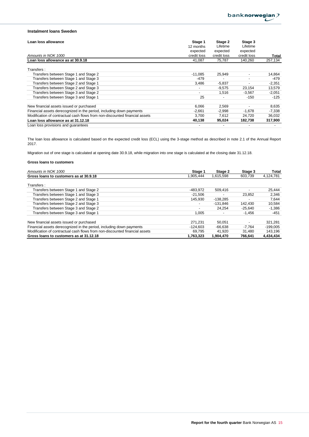## **Instalment loans Sweden**

| Loan loss allowance                                                         | Stage 1     | Stage 2     | Stage 3                  |          |
|-----------------------------------------------------------------------------|-------------|-------------|--------------------------|----------|
|                                                                             | 12 months   | Lifetime    | Lifetime                 |          |
|                                                                             | expected    | expected    | expected                 |          |
| Amounts in NOK 1000                                                         | credit loss | credit loss | credit loss              | Total    |
| Loan loss allowance as at 30.9.18                                           | 41,087      | 75,787      | 140,260                  | 257,134  |
| Transfers:                                                                  |             |             |                          |          |
| Transfers between Stage 1 and Stage 2                                       | $-11.085$   | 25.949      | $\blacksquare$           | 14.864   |
| Transfers between Stage 1 and Stage 3                                       | $-479$      |             | $\overline{\phantom{0}}$ | $-479$   |
| Transfers between Stage 2 and Stage 1                                       | 3,486       | $-5,837$    | $\overline{\phantom{0}}$ | $-2,351$ |
| Transfers between Stage 2 and Stage 3                                       |             | $-9,575$    | 23,154                   | 13,579   |
| Transfers between Stage 3 and Stage 2                                       |             | 1,516       | $-3,567$                 | $-2,051$ |
| Transfers between Stage 3 and Stage 1                                       | 25          |             | $-150$                   | $-125$   |
| New financial assets issued or purchased                                    | 6,066       | 2,569       |                          | 8,635    |
| Financial assets derecognized in the period, including down payments        | $-2,661$    | $-2,998$    | $-1,678$                 | -7,338   |
| Modification of contractual cash flows from non-discounted financial assets | 3.700       | 7,612       | 24,720                   | 36,032   |
| Loan loss allowance as at 31.12.18                                          | 40.138      | 95,024      | 182,738                  | 317,900  |
| Loan loss provisions and quarantees                                         |             |             |                          |          |

The loan loss allowance is calculated based on the expected credit loss (ECL) using the 3-stage method as described in note 2.1 of the Annual Report 2017.

Migration out of one stage is calculated at opening date 30.9.18, while migration into one stage is calculated at the closing date 31.12.18.

| Amounts in NOK 1000                                                         | Stage 1                  | Stage 2    | Stage 3   | Total      |
|-----------------------------------------------------------------------------|--------------------------|------------|-----------|------------|
| Gross loans to customers as at 30.9.18                                      | .905.444                 | 1,615,598  | 603.739   | 4,124,781  |
| Transfers:                                                                  |                          |            |           |            |
| Transfers between Stage 1 and Stage 2                                       | -483.972                 | 509.416    |           | 25,444     |
| Transfers between Stage 1 and Stage 3                                       | $-21.506$                |            | 23.852    | 2,346      |
| Transfers between Stage 2 and Stage 1                                       | 145,930                  | $-138.285$ |           | 7,644      |
| Transfers between Stage 2 and Stage 3                                       | $\overline{\phantom{0}}$ | $-131.846$ | 142.430   | 10,584     |
| Transfers between Stage 3 and Stage 2                                       | $\overline{\phantom{a}}$ | 24.254     | $-25.640$ | $-1,386$   |
| Transfers between Stage 3 and Stage 1                                       | 1.005                    |            | $-1.456$  | $-451$     |
| New financial assets issued or purchased                                    | 271.231                  | 50.051     |           | 321,281    |
| Financial assets derecognized in the period, including down payments        | $-124.603$               | $-66.638$  | -7.764    | $-199,005$ |
| Modification of contractual cash flows from non-discounted financial assets | 69.795                   | 41.920     | 31.480    | 143.196    |
| Gross loans to customers as at 31.12.18                                     | 1,763,323                | 1,904,470  | 766.641   | 4,434,434  |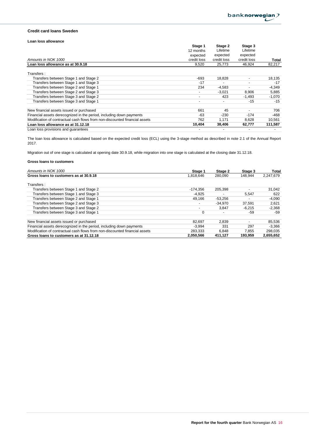## **Credit card loans Sweden**

## **Loan loss allowance**

|                                                                             | Stage 1                  | Stage 2     | Stage 3     |          |
|-----------------------------------------------------------------------------|--------------------------|-------------|-------------|----------|
|                                                                             | 12 months                | Lifetime    | Lifetime    |          |
|                                                                             | expected                 | expected    | expected    |          |
| Amounts in NOK 1000                                                         | credit loss              | credit loss | credit loss | Total    |
| Loan loss allowance as at 30.9.18                                           | 9,520                    | 25,773      | 46,924      | 82,217   |
| Transfers:                                                                  |                          |             |             |          |
| Transfers between Stage 1 and Stage 2                                       | -693                     | 18,828      | ٠           | 18,135   |
| Transfers between Stage 1 and Stage 3                                       | $-17$                    |             |             | $-17$    |
| Transfers between Stage 2 and Stage 1                                       | 234                      | $-4,583$    |             | $-4,349$ |
| Transfers between Stage 2 and Stage 3                                       | $\overline{\phantom{a}}$ | $-3,021$    | 8,906       | 5,885    |
| Transfers between Stage 3 and Stage 2                                       | $\overline{\phantom{a}}$ | 423         | $-1,493$    | $-1,070$ |
| Transfers between Stage 3 and Stage 1                                       | $\overline{\phantom{a}}$ |             | $-15$       | $-15$    |
| New financial assets issued or purchased                                    | 661                      | 45          |             | 706      |
| Financial assets derecognized in the period, including down payments        | -63                      | $-230$      | $-174$      | -468     |
| Modification of contractual cash flows from non-discounted financial assets | 762                      | 1,171       | 8,628       | 10,561   |
| Loan loss allowance as at 31.12.18                                          | 10,404                   | 38,406      | 62,777      | 111,587  |
| Loan loss provisions and quarantees                                         |                          |             |             |          |

The loan loss allowance is calculated based on the expected credit loss (ECL) using the 3-stage method as described in note 2.1 of the Annual Report 2017.

Migration out of one stage is calculated at opening date 30.9.18, while migration into one stage is calculated at the closing date 31.12.18.

| Amounts in NOK 1000                                                         | Stage 1   | Stage 2   | Stage 3                  | Total     |
|-----------------------------------------------------------------------------|-----------|-----------|--------------------------|-----------|
| Gross loans to customers as at 30.9.18                                      | 1.818.646 | 280.090   | 148.944                  | 2.247.679 |
| Transfers:                                                                  |           |           |                          |           |
| Transfers between Stage 1 and Stage 2                                       | -174.356  | 205.398   |                          | 31,042    |
| Transfers between Stage 1 and Stage 3                                       | $-4,925$  |           | 5,547                    | 622       |
| Transfers between Stage 2 and Stage 1                                       | 49.166    | $-53,256$ |                          | $-4,090$  |
| Transfers between Stage 2 and Stage 3                                       |           | $-34.970$ | 37.591                   | 2,621     |
| Transfers between Stage 3 and Stage 2                                       |           | 3.847     | $-6.215$                 | $-2,368$  |
| Transfers between Stage 3 and Stage 1                                       | 0         |           | -59                      | -59       |
| New financial assets issued or purchased                                    | 82.697    | 2.839     | $\overline{\phantom{0}}$ | 85,536    |
| Financial assets derecognized in the period, including down payments        | $-3.994$  | 331       | 297                      | $-3.366$  |
| Modification of contractual cash flows from non-discounted financial assets | 283.333   | 6.848     | 7,855                    | 298.035   |
| Gross loans to customers as at 31.12.18                                     | 2,050,566 | 411,127   | 193.959                  | 2,655,652 |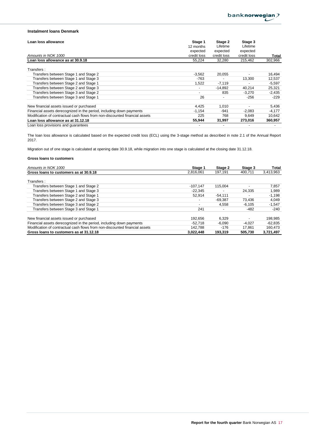## **Instalment loans Denmark**

| Loan loss allowance                                                         | Stage 1                  | Stage 2     | Stage 3     |          |
|-----------------------------------------------------------------------------|--------------------------|-------------|-------------|----------|
|                                                                             | 12 months                | Lifetime    | Lifetime    |          |
|                                                                             | expected                 | expected    | expected    |          |
| Amounts in NOK 1000                                                         | credit loss              | credit loss | credit loss | Total    |
| Loan loss allowance as at 30.9.18                                           | 55,224                   | 32,280      | 215,462     | 302,966  |
| Transfers:                                                                  |                          |             |             |          |
| Transfers between Stage 1 and Stage 2                                       | $-3,562$                 | 20,055      | ٠           | 16,494   |
| Transfers between Stage 1 and Stage 3                                       | $-763$                   |             | 13,300      | 12,537   |
| Transfers between Stage 2 and Stage 1                                       | 1,522                    | $-7,119$    |             | $-5,597$ |
| Transfers between Stage 2 and Stage 3                                       | $\overline{\phantom{a}}$ | $-14.892$   | 40,214      | 25,321   |
| Transfers between Stage 3 and Stage 2                                       |                          | 835         | $-3,270$    | $-2,435$ |
| Transfers between Stage 3 and Stage 1                                       | 26                       |             | $-256$      | $-229$   |
| New financial assets issued or purchased                                    | 4.425                    | 1.010       |             | 5,436    |
| Financial assets derecognized in the period, including down payments        | $-1,154$                 | $-941$      | $-2,083$    | $-4,177$ |
| Modification of contractual cash flows from non-discounted financial assets | 225                      | 768         | 9,649       | 10,642   |
| Loan loss allowance as at 31.12.18                                          | 55.944                   | 31,997      | 273,016     | 360,957  |
| Loan loss provisions and quarantees                                         |                          |             |             |          |

The loan loss allowance is calculated based on the expected credit loss (ECL) using the 3-stage method as described in note 2.1 of the Annual Report 2017.

Migration out of one stage is calculated at opening date 30.9.18, while migration into one stage is calculated at the closing date 31.12.18.

| Amounts in NOK 1000                                                         | Stage 1                  | Stage 2   | Stage 3  | Total     |
|-----------------------------------------------------------------------------|--------------------------|-----------|----------|-----------|
| Gross loans to customers as at 30.9.18                                      | 2.816.061                | 197.191   | 400.711  | 3,413,963 |
| Transfers:                                                                  |                          |           |          |           |
| Transfers between Stage 1 and Stage 2                                       | $-107.147$               | 115.004   |          | 7,857     |
| Transfers between Stage 1 and Stage 3                                       | $-22.345$                |           | 24,335   | 1,989     |
| Transfers between Stage 2 and Stage 1                                       | 52.914                   | $-54.111$ |          | $-1,198$  |
| Transfers between Stage 2 and Stage 3                                       | $\overline{\phantom{0}}$ | $-69.387$ | 73,436   | 4,049     |
| Transfers between Stage 3 and Stage 2                                       | $\overline{\phantom{0}}$ | 4.558     | $-6.105$ | $-1,547$  |
| Transfers between Stage 3 and Stage 1                                       | 241                      |           | $-482$   | $-240$    |
| New financial assets issued or purchased                                    | 192.656                  | 6.329     |          | 198,985   |
| Financial assets derecognized in the period, including down payments        | $-52.718$                | $-6,090$  | $-4.027$ | -62,835   |
| Modification of contractual cash flows from non-discounted financial assets | 142.788                  | $-176$    | 17.861   | 160,473   |
| Gross loans to customers as at 31.12.18                                     | 3.022.448                | 193.319   | 505.730  | 3,721,497 |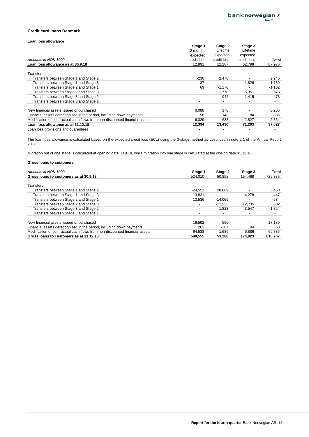## **Credit card loans Denmark**

## **Loan loss allowance**

|                                                                             | Stage 1                  | Stage 2     | Stage 3     |                          |
|-----------------------------------------------------------------------------|--------------------------|-------------|-------------|--------------------------|
|                                                                             | 12 months                | Lifetime    | Lifetime    |                          |
|                                                                             | expected                 | expected    | expected    |                          |
| Amounts in NOK 1000                                                         | credit loss              | credit loss | credit loss | Total                    |
| Loan loss allowance as at 30.9.18                                           | 12.891                   | 12.287      | 62,798      | 87,976                   |
| Transfers:                                                                  |                          |             |             |                          |
| Transfers between Stage 1 and Stage 2                                       | $-230$                   | 2,476       |             | 2,246                    |
| Transfers between Stage 1 and Stage 3                                       | $-37$                    |             | 1,826       | 1,789                    |
| Transfers between Stage 2 and Stage 1                                       | 69                       | $-1,170$    |             | $-1,102$                 |
| Transfers between Stage 2 and Stage 3                                       | $\overline{\phantom{a}}$ | $-1.778$    | 5,351       | 3,573                    |
| Transfers between Stage 3 and Stage 2                                       | $\overline{\phantom{0}}$ | 942         | $-1.415$    | -473                     |
| Transfers between Stage 3 and Stage 1                                       | $\overline{\phantom{0}}$ |             |             | $\overline{\phantom{a}}$ |
| New financial assets issued or purchased                                    | 6.088                    | 178         |             | 6,266                    |
| Financial assets derecognized in the period, including down payments        | $-58$                    | $-143$      | $-184$      | $-385$                   |
| Modification of contractual cash flows from non-discounted financial assets | $-6,329$                 | 638         | 2,827       | $-2,864$                 |
| Loan loss allowance as at 31.12.18                                          | 12,394                   | 13,430      | 71,203      | 97,027                   |
| Loan loss provisions and quarantees                                         |                          |             |             |                          |

The loan loss allowance is calculated based on the expected credit loss (ECL) using the 3-stage method as described in note 2.1 of the Annual Report 2017.

Migration out of one stage is calculated at opening date 30.9.18, while migration into one stage is calculated at the closing date 31.12.18.

| Amounts in NOK 1000                                                         | Stage 1                  | Stage 2   | Stage 3  | Total    |
|-----------------------------------------------------------------------------|--------------------------|-----------|----------|----------|
| Gross loans to customers as at 30.9.18                                      | 524.010                  | 50,858    | 154.468  | 729,335  |
| Transfers:                                                                  |                          |           |          |          |
| Transfers between Stage 1 and Stage 2                                       | $-24,551$                | 28,009    |          | 3,458    |
| Transfers between Stage 1 and Stage 3                                       | $-3.831$                 |           | 4.278    | 447      |
| Transfers between Stage 2 and Stage 1                                       | 13,536                   | $-14.069$ |          | $-534$   |
| Transfers between Stage 2 and Stage 3                                       | $\overline{\phantom{a}}$ | $-11.933$ | 12,735   | 802      |
| Transfers between Stage 3 and Stage 2                                       | $\overline{\phantom{0}}$ | 1.823     | $-3.547$ | $-1,724$ |
| Transfers between Stage 3 and Stage 1                                       | $\overline{\phantom{a}}$ |           |          |          |
| New financial assets issued or purchased                                    | 16.592                   | 596       |          | 17.189   |
| Financial assets derecognized in the period, including down payments        | 262                      | $-307$    | 104      | 58       |
| Modification of contractual cash flows from non-discounted financial assets | 64.538                   | $-1.689$  | 6.886    | 69.735   |
| Gross loans to customers as at 31.12.18                                     | 590.555                  | 53,288    | 174,923  | 818,767  |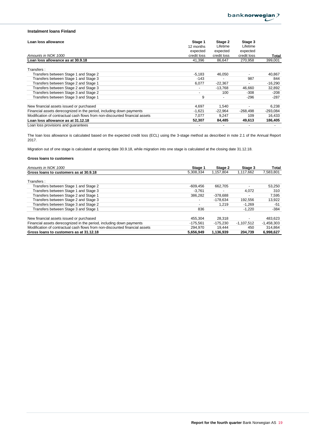## **Instalment loans Finland**

| Loan loss allowance                                                         | Stage 1                  | Stage 2     | Stage 3                  |            |
|-----------------------------------------------------------------------------|--------------------------|-------------|--------------------------|------------|
|                                                                             | 12 months                | Lifetime    | Lifetime                 |            |
|                                                                             | expected                 | expected    | expected                 |            |
| Amounts in NOK 1000                                                         | credit loss              | credit loss | credit loss              | Total      |
| Loan loss allowance as at 30.9.18                                           | 41.396                   | 86.647      | 270.958                  | 399,001    |
| Transfers:                                                                  |                          |             |                          |            |
| Transfers between Stage 1 and Stage 2                                       | $-5,183$                 | 46,050      | $\overline{\phantom{0}}$ | 40,867     |
| Transfers between Stage 1 and Stage 3                                       | $-143$                   |             | 987                      | 844        |
| Transfers between Stage 2 and Stage 1                                       | 6,077                    | $-22,367$   | ٠                        | $-16,290$  |
| Transfers between Stage 2 and Stage 3                                       | $\overline{\phantom{a}}$ | $-13.768$   | 46,660                   | 32,892     |
| Transfers between Stage 3 and Stage 2                                       | $\overline{\phantom{a}}$ | 100         | $-308$                   | $-208$     |
| Transfers between Stage 3 and Stage 1                                       | 9                        |             | $-296$                   | $-287$     |
| New financial assets issued or purchased                                    | 4,697                    | 1,540       |                          | 6,238      |
| Financial assets derecognized in the period, including down payments        | $-1,621$                 | $-22.964$   | $-268.498$               | $-293,084$ |
| Modification of contractual cash flows from non-discounted financial assets | 7,077                    | 9,247       | 109                      | 16,433     |
| Loan loss allowance as at 31.12.18                                          | 52.307                   | 84.485      | 49,613                   | 186,405    |
| Loan loss provisions and quarantees                                         |                          |             |                          |            |

The loan loss allowance is calculated based on the expected credit loss (ECL) using the 3-stage method as described in note 2.1 of the Annual Report 2017.

Migration out of one stage is calculated at opening date 30.9.18, while migration into one stage is calculated at the closing date 31.12.18.

| Amounts in NOK 1000                                                         | Stage 1                  | Stage 2    | Stage 3      | Total        |
|-----------------------------------------------------------------------------|--------------------------|------------|--------------|--------------|
| Gross loans to customers as at 30.9.18                                      | 5,308,334                | 1.157.804  | 1.117.662    | 7,583,801    |
| Transfers:                                                                  |                          |            |              |              |
| Transfers between Stage 1 and Stage 2                                       | $-609.456$               | 662.705    |              | 53,250       |
| Transfers between Stage 1 and Stage 3                                       | $-3.761$                 |            | 4.072        | 310          |
| Transfers between Stage 2 and Stage 1                                       | 386.282                  | $-378,688$ |              | 7,595        |
| Transfers between Stage 2 and Stage 3                                       | $\overline{\phantom{a}}$ | $-178.634$ | 192.556      | 13,922       |
| Transfers between Stage 3 and Stage 2                                       | $\overline{\phantom{a}}$ | 1.219      | $-1.269$     | -51          |
| Transfers between Stage 3 and Stage 1                                       | 836                      |            | $-1.220$     | $-384$       |
| New financial assets issued or purchased                                    | 455.304                  | 28.318     |              | 483,623      |
| Financial assets derecognized in the period, including down payments        | -175.561                 | -175.230   | $-1.107.512$ | $-1,458,303$ |
| Modification of contractual cash flows from non-discounted financial assets | 294.970                  | 19.444     | 450          | 314.864      |
| Gross loans to customers as at 31.12.18                                     | 5.656.949                | 1.136.939  | 204.739      | 6.998.627    |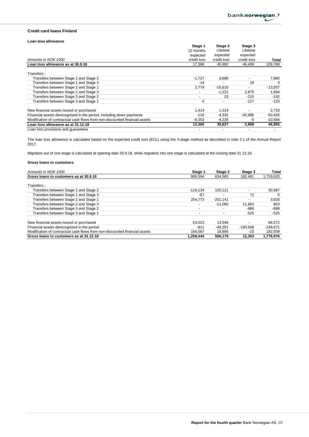## **Credit card loans Finland**

## **Loan loss allowance**

|                                                                             | Stage 1        | Stage 2                  | Stage 3     |           |
|-----------------------------------------------------------------------------|----------------|--------------------------|-------------|-----------|
|                                                                             | 12 months      | Lifetime                 | Lifetime    |           |
|                                                                             | expected       | expected                 | expected    |           |
| Amounts in NOK 1000                                                         | credit loss    | credit loss              | credit loss | Total     |
| Loan loss allowance as at 30.9.18                                           | 17,366         | 45.992                   | 46,409      | 109,768   |
| Transfers:                                                                  |                |                          |             |           |
| Transfers between Stage 1 and Stage 2                                       | $-1,727$       | 9,686                    |             | 7,960     |
| Transfers between Stage 1 and Stage 3                                       | $-14$          |                          | 18          | 3         |
| Transfers between Stage 2 and Stage 1                                       | 2.779          | $-16,616$                |             | $-13,837$ |
| Transfers between Stage 2 and Stage 3                                       | $\blacksquare$ | $-1,221$                 | 2,875       | 1,654     |
| Transfers between Stage 3 and Stage 2                                       |                | 23                       | $-215$      | $-192$    |
| Transfers between Stage 3 and Stage 1                                       | 4              | $\overline{\phantom{a}}$ | $-127$      | -123      |
| New financial assets issued or purchased                                    | 1,414          | 1.319                    |             | 2,733     |
| Financial assets derecognized in the period, including down payments        | $-110$         | $-4,331$                 | -45.986     | $-50,426$ |
| Modification of contractual cash flows from non-discounted financial assets | $-6,353$       | $-4,226$                 | -5          | $-10,584$ |
| Loan loss allowance as at 31.12.18                                          | 13,360         | 30,627                   | 2,968       | 46,955    |
| Loan loss provisions and quarantees                                         |                |                          |             |           |

The loan loss allowance is calculated based on the expected credit loss (ECL) using the 3-stage method as described in note 2.1 of the Annual Report 2017.

Migration out of one stage is calculated at opening date 30.9.18, while migration into one stage is calculated at the closing date 31.12.18.

| Amounts in NOK 1000                                                         | Stage 1                  | Stage 2    | Stage 3                  | Total      |
|-----------------------------------------------------------------------------|--------------------------|------------|--------------------------|------------|
| Gross loans to customers as at 30.9.18                                      | 906.594                  | 634.565    | 192.461                  | 1,733,620  |
|                                                                             |                          |            |                          |            |
| Transfers:                                                                  |                          |            |                          |            |
| Transfers between Stage 1 and Stage 2                                       | $-119.134$               | 150.121    | $\overline{\phantom{0}}$ | 30,987     |
| Transfers between Stage 1 and Stage 3                                       | -67                      |            | 72                       | 5          |
| Transfers between Stage 2 and Stage 1                                       | 254.773                  | $-251,141$ |                          | 3,633      |
| Transfers between Stage 2 and Stage 3                                       | $\overline{\phantom{0}}$ | $-11.060$  | 11,863                   | 803        |
| Transfers between Stage 3 and Stage 2                                       | $\overline{\phantom{a}}$ |            | $-888$                   | -888       |
| Transfers between Stage 3 and Stage 1                                       | $\overline{\phantom{0}}$ |            | $-525$                   | $-525$     |
| New financial assets issued or purchased                                    | 53.023                   | 13.049     |                          | 66.072     |
|                                                                             |                          |            |                          |            |
| Financial assets derecognized in the period                                 | -811                     | $-48.251$  | $-190.608$               | $-239.671$ |
| Modification of contractual cash flows from non-discounted financial assets | 164.067                  | 18,895     | -23                      | 182,939    |
| Gross loans to customers as at 31.12.18                                     | 1,258,444                | 506.179    | 12.353                   | 1,776,976  |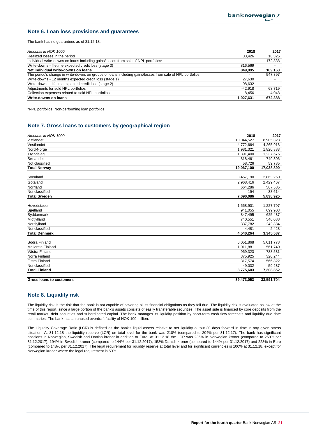## **Note 6. Loan loss provisions and guarantees**

The bank has no guarantees as of 31.12.18.

| 2018<br>Amounts in NOK 1000                                                                                     | 2017     |
|-----------------------------------------------------------------------------------------------------------------|----------|
| Realized losses in the period<br>33.426                                                                         | 16.325   |
| Individual write-downs on loans including gains/losses from sale of NPL portfolios*<br>$\overline{\phantom{a}}$ | 172,838  |
| Write-downs - lifetime expected credit loss (stage 3)<br>816.569                                                |          |
| Net individual write-downs on loans<br>849.995                                                                  | 189,163  |
| The period's change in write-downs on groups of loans including gains/losses from sale of NPL portfolios        | 547.897  |
| Write-downs - 12 months expected credit loss (stage 1)<br>27,630                                                |          |
| Write-downs - lifetime expected credit loss (stage 2)<br>98,632                                                 |          |
| Adjustments for sold NPL portfolios<br>-42.918                                                                  | 68.719   |
| Collection expenses related to sold NPL portfolios<br>-8.456                                                    | $-4.048$ |
| Write-downs on loans<br>1.027.631                                                                               | 672,388  |

\*NPL portfolios: Non-performing loan portfolios

## **Note 7. Gross loans to customers by geographical region**

| Amounts in NOK 1000      | 2018       | 2017       |
|--------------------------|------------|------------|
| Østlandet                | 10,044,527 | 8,905,323  |
| Vestlandet               | 4,772,664  | 4,265,918  |
| Nord-Norge               | 1,981,321  | 1,820,883  |
| Trøndelag                | 1,391,400  | 1,237,676  |
| Sørlandet                | 818,461    | 749,306    |
| Not classified           | 58,726     | 59,785     |
| <b>Total Norway</b>      | 19,067,100 | 17,038,890 |
| Svealand                 | 3,457,190  | 2,863,260  |
|                          |            |            |
| Götaland                 | 2,968,416  | 2,429,467  |
| Norrland                 | 664,286    | 567,585    |
| Not classified           | 194        | 38,614     |
| <b>Total Sweden</b>      | 7,090,086  | 5,898,925  |
|                          |            |            |
| Hovedstaden              | 1,668,901  | 1,227,797  |
| Sjælland                 | 941,055    | 699,903    |
| Syddanmark               | 847,495    | 625,437    |
| Midtjylland              | 740,551    | 546,088    |
| Nordjylland              | 337,782    | 243,884    |
| Not classified           | 4,481      | 2,428      |
| <b>Total Denmark</b>     | 4,540,264  | 3,345,537  |
| Södra Finland            | 6,051,868  | 5,011,778  |
| Mellersta Finland        | 1,011,881  | 561,740    |
|                          |            |            |
| Västra Finland           | 969,323    | 788,531    |
| Norra Finland            | 375,925    | 320,244    |
| Östra Finland            | 317,574    | 566,822    |
| Not classified           | 49,032     | 59,237     |
| <b>Total Finland</b>     | 8,775,603  | 7,308,352  |
| Gross loans to customers | 39,473,053 | 33,591,704 |

## **Note 8. Liquidity risk**

The liquidity risk is the risk that the bank is not capable of covering all its financial obligations as they fall due. The liquidity risk is evaluated as low at the time of this report, since a large portion of the bank's assets consists of easily transferable securities. The asset side is financed by core deposits from the retail market, debt securities and subordinated capital. The bank manages its liquidity position by short-term cash flow forecasts and liquidity due date summaries. The bank has an unused overdraft facility of NOK 100 million.

The Liquidity Coverage Ratio (LCR) is defined as the bank's liquid assets relative to net liquidity output 30 days forward in time in any given stress situation. At 31.12.18 the liquidity reserve (LCR) on total level for the bank was 210% (compared to 204% per 31.12.17). The bank has significant positions in Norwegian, Swedish and Danish kroner in addition to Euro. At 31.12.18 the LCR was 236% in Norwegian kroner (compared to 269% per 31.12.2017), 194% in Swedish kroner (compared to 144% per 31.12.2017), 158% Danish kroner (compared to 144% per 31.12.2017) and 228% in Euro (compared to 148% per 31.12.2017). The legal requirement for liquidity reserve at total level and for significant currencies is 100% at 31.12.18, except for Norwegian kroner where the legal requirement is 50%.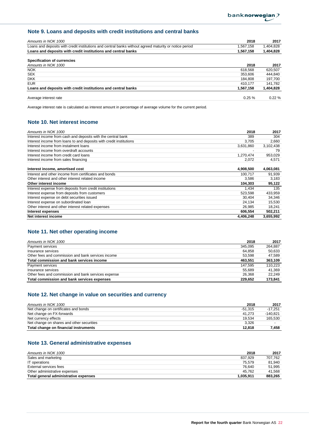# **Note 9. Loans and deposits with credit institutions and central banks**

| Amounts in NOK 1000                                                                                    | 2018      | 2017      |
|--------------------------------------------------------------------------------------------------------|-----------|-----------|
| Loans and deposits with credit institutions and central banks without agreed maturity or notice period | 1,567,158 | 1,404,828 |
| Loans and deposits with credit institutions and central banks                                          | 1,567,158 | 1,404,828 |
| <b>Specification of currencies</b>                                                                     |           |           |
| Amounts in NOK 1000                                                                                    | 2018      | 2017      |
| <b>NOK</b>                                                                                             | 618.568   | 620,507   |
| <b>SEK</b>                                                                                             | 353.606   | 444,840   |
| <b>DKK</b>                                                                                             | 184.808   | 197.700   |
| <b>EUR</b>                                                                                             | 410.177   | 141,782   |
| Loans and deposits with credit institutions and central banks                                          | 1,567,158 | 1,404,828 |
| Average interest rate                                                                                  | $0.25 \%$ | $0.22 \%$ |

Average interest rate is calculated as interest amount in percentage of average volume for the current period.

# **Note 10. Net interest income**

| Amounts in NOK 1000                                                 | 2018      | 2017      |
|---------------------------------------------------------------------|-----------|-----------|
| Interest income from cash and deposits with the central bank        | 389       | 304       |
| Interest income from loans to and deposits with credit institutions | 3.705     | 2,660     |
| Interest income from instalment loans                               | 3,631,860 | 3,102,438 |
| Interest income from overdraft accounts                             |           | 79        |
| Interest income from credit card loans                              | 1,270,474 | 953,029   |
| Interest income from sales financing                                | 2,072     | 4,571     |
|                                                                     |           |           |
| Interest income, amortised cost                                     | 4,908,500 | 4,063,081 |
| Interest and other income from certificates and bonds               | 100.717   | 91,939    |
| Other interest and other interest related income                    | 3,586     | 3,183     |
| Other interest income                                               | 104,303   | 95,122    |
| Interest expense from deposits from credit institutions             | 1,434     | 135       |
| Interest expense from deposits from customers                       | 523,598   | 433,959   |
| Interest expense on debt securities issued                          | 30.404    | 34,346    |
| Interest expense on subordinated loan                               | 24,134    | 15,530    |
| Other interest and other interest related expenses                  | 26,985    | 18,241    |
| Interest expenses                                                   | 606,554   | 502,211   |
| Net interest income                                                 | 4,406,248 | 3,655,992 |

## **Note 11. Net other operating income**

| Amounts in NOK 1000                                 | 2018    | 2017    |
|-----------------------------------------------------|---------|---------|
| Payment services                                    | 345.095 | 264.887 |
| Insurance services                                  | 64.858  | 50.633  |
| Other fees and commission and bank services income  | 53.598  | 47.589  |
| Total commission and bank services income           | 463.551 | 363.109 |
| Payment services                                    | 147.595 | 110.223 |
| Insurance services                                  | 55.689  | 41.369  |
| Other fees and commission and bank services expense | 26.368  | 22.249  |
| Total commission and bank services expenses         | 229.652 | 173,841 |

## **Note 12. Net change in value on securities and currency**

| Amounts in NOK 1000                       | 2018      | 2017       |
|-------------------------------------------|-----------|------------|
| Net change on certificates and bonds      | $-51.315$ | $-17.251$  |
| Net change on FX-forwards                 | 41.273    | $-140.821$ |
| Net currency effects                      | 19.534    | 165,530    |
| Net change on shares and other securities | 3,326     |            |
| Total change on financial instruments     | 12.818    | 7.458      |

## **Note 13. General administrative expenses**

| Amounts in NOK 1000                   | 2018      | 2017    |
|---------------------------------------|-----------|---------|
| Sales and marketing                   | 837.929   | 707.762 |
| IT operations                         | 75.579    | 81.940  |
| External services fees                | 76.640    | 51.995  |
| Other administrative expenses         | 45.762    | 41.568  |
| Total general administrative expenses | 1.035.911 | 883.265 |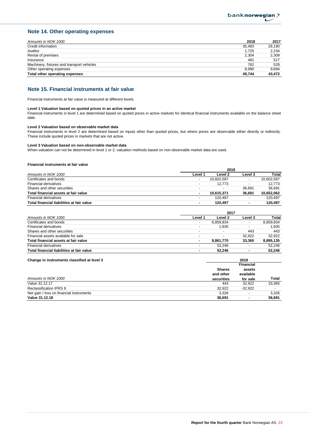## **Note 14. Other operating expenses**

| Amounts in NOK 1000                        | 2018   | 2017   |
|--------------------------------------------|--------|--------|
| Credit information                         | 35.483 | 28.190 |
| Auditor                                    | 1.725  | 2,234  |
| Rental of premises                         | 2.304  | 2.309  |
| Insurance                                  | 481    | 517    |
| Machinery, fixtures and transport vehicles | 762    | 528    |
| Other operating expenses                   | 8.990  | 9.694  |
| Total other operating expenses             | 49.744 | 43.472 |

## **Note 15. Financial instruments at fair value**

Financial instruments at fair value is measured at different levels.

#### **Level 1 Valuation based on quoted prices in an active market**

Financial instruments in level 1 are determined based on quoted prices in active markets for identical financial instruments available on the balance sheet date.

#### **Level 2 Valuation based on observable market data**

Financial instruments in level 2 are determined based on inputs other than quoted prices, but where prices are observable either directly or indirectly. These include quoted prices in markets that are not active.

#### **Level 3 Valuation based on non-observable market data**

When valuation can not be determined in level 1 or 2, valuation methods based on non-observable market data are used.

#### **Financial instruments at fair value**

|                                           | 2018                     |                          |         |            |
|-------------------------------------------|--------------------------|--------------------------|---------|------------|
| Amounts in NOK 1000                       | Level 1                  | Level 2                  | Level 3 | Total      |
| Certificates and bonds                    |                          | 10.602.597               |         | 10.602.597 |
| <b>Financial derivatives</b>              | $\overline{\phantom{0}}$ | 12.773                   |         | 12.773     |
| Shares and other securities               | -                        | $\overline{\phantom{a}}$ | 36.691  | 36.691     |
| Total financial assets at fair value      | ٠                        | 10.615.371               | 36.691  | 10,652,062 |
| Financial derivatives                     |                          | 120.497                  |         | 120.497    |
| Total financial liabilities at fair value | ۰                        | 120.497                  | ۰       | 120.497    |

|                                           | 2017                     |           |                |           |
|-------------------------------------------|--------------------------|-----------|----------------|-----------|
| Amounts in NOK 1000                       | Level 1                  | Level 2   | Level 3        | Total     |
| Certificates and bonds                    |                          | 8,859,834 |                | 8,859,834 |
| <b>Financial derivatives</b>              |                          | 1.935     |                | 1.935     |
| Shares and other securities               |                          |           | 443            | 443       |
| Financial assets available for sale       | $\overline{\phantom{0}}$ |           | 32.922         | 32.922    |
| Total financial assets at fair value      | $\blacksquare$           | 8.861.770 | 33.365         | 8,895,135 |
| <b>Financial derivatives</b>              |                          | 52.246    |                | 52.246    |
| Total financial liabilities at fair value |                          | 52.246    | $\blacksquare$ | 52.246    |

| Change in instruments classified at level 3 | 2018          |                  |        |  |
|---------------------------------------------|---------------|------------------|--------|--|
|                                             |               | <b>Financial</b> |        |  |
|                                             | <b>Shares</b> | assets           |        |  |
|                                             | and other     | available        |        |  |
| Amounts in NOK 1000                         | securities    | for sale         | Total  |  |
| Value 31.12.17                              | 443           | 32.922           | 33.365 |  |
| Reclassification IFRS 9                     | 32.922        | $-32.922$        |        |  |
| Net gain / loss on financial instruments    | 3.326         |                  | 3.326  |  |
| Value 31.12.18                              | 36,691        | ۰                | 36.691 |  |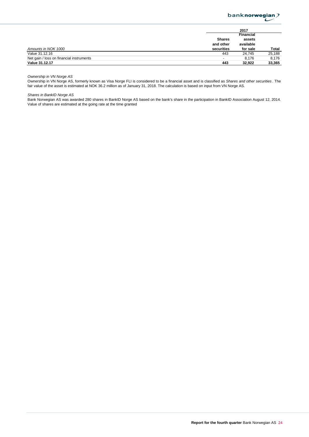

|                                          |                          | 2017      |        |
|------------------------------------------|--------------------------|-----------|--------|
|                                          |                          | Financial |        |
|                                          | <b>Shares</b>            | assets    |        |
|                                          | and other                | available |        |
| Amounts in NOK 1000                      | securities               | for sale  | Total  |
| Value 31.12.16                           | 443                      | 24.745    | 25,188 |
| Net gain / loss on financial instruments | $\overline{\phantom{a}}$ | 8.176     | 8.176  |
| Value 31.12.17                           | 443                      | 32.922    | 33,365 |

*Ownership in VN Norge AS*

Ownership in VN Norge AS, formerly known as Visa Norge FLI is considered to be a financial asset and is classified as *Shares and other securities* . The fair value of the asset is estimated at NOK 36.2 million as of January 31, 2018. The calculation is based on input from VN Norge AS.

*Shares in BankID Norge AS*

Bank Norwegian AS was awarded 280 shares in BankID Norge AS based on the bank's share in the participation in BankID Association August 12, 2014. Value of shares are estimated at the going rate at the time granted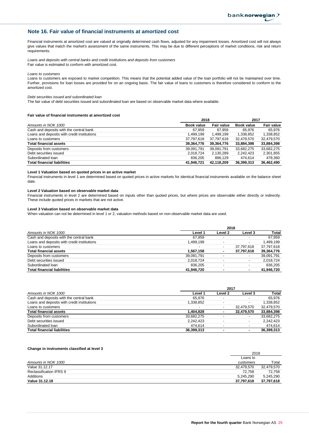## **Note 16. Fair value of financial instruments at amortized cost**

Financial instruments at amortized cost are valued at originally determined cash flows, adjusted for any impairment losses. Amortized cost will not always give values that match the market's assessment of the same instruments. This may be due to different perceptions of market conditions, risk and return requirements.

*Loans and deposits with central banks and credit institutions and deposits from customers* Fair value is estimated to conform with amortized cost.

*Loans to customers*

Loans to customers are exposed to market competition. This means that the potential added value of the loan portfolio will not be maintained over time. Further, provisions for loan losses are provided for on an ongoing basis. The fair value of loans to customers is therefore considered to conform to the amortized cost.

#### *Debt securities issued and subordinated loan*

The fair value of debt securities issued and subordinated loan are based on observable market data where available.

#### **Fair value of financial instruments at amortized cost**

|                                             | 2018       |                   | 2017       |                   |
|---------------------------------------------|------------|-------------------|------------|-------------------|
| Amounts in NOK 1000                         | Book value | <b>Fair value</b> | Book value | <b>Fair value</b> |
| Cash and deposits with the central bank     | 67.959     | 67.959            | 65.976     | 65.976            |
| Loans and deposits with credit institutions | 1,499,199  | 1,499,199         | 1,338,852  | 1,338,852         |
| Loans to customers                          | 37,797,618 | 37,797,618        | 32,479,570 | 32,479,570        |
| <b>Total financial assets</b>               | 39,364,776 | 39,364,776        | 33,884,398 | 33,884,398        |
| Deposits from customers                     | 39,091,791 | 39.091.791        | 33.682.275 | 33.682.275        |
| Debt securities issued                      | 2,018,724  | 2,130,289         | 2,242,423  | 2,301,855         |
| Subordinated Ioan                           | 836.205    | 896.129           | 474.614    | 478.360           |
| <b>Total financial liabilities</b>          | 41.946.721 | 42,118,209        | 36,399,313 | 36,462,490        |

#### **Level 1 Valuation based on quoted prices in an active market**

Financial instruments in level 1 are determined based on quoted prices in active markets for identical financial instruments available on the balance sheet date.

#### **Level 2 Valuation based on observable market data**

Financial instruments in level 2 are determined based on inputs other than quoted prices, but where prices are observable either directly or indirectly. These include quoted prices in markets that are not active.

#### **Level 3 Valuation based on observable market data**

When valuation can not be determined in level 1 or 2, valuation methods based on non-observable market data are used.

|                                             | 2018                     |                          |                          |            |
|---------------------------------------------|--------------------------|--------------------------|--------------------------|------------|
| Amounts in NOK 1000                         | Level 1                  | Level 2                  | Level 3                  | Total      |
| Cash and deposits with the central bank     | 67.959                   |                          |                          | 67.959     |
| Loans and deposits with credit institutions | 1.499.199                |                          | $\overline{\phantom{0}}$ | 1,499,199  |
| Loans to customers                          | $\overline{\phantom{a}}$ | $\overline{\phantom{0}}$ | 37.797.618               | 37,797,618 |
| <b>Total financial assets</b>               | 1.567.158                |                          | 37,797,618               | 39,364,776 |
| Deposits from customers                     | 39,091,791               |                          | $\overline{\phantom{0}}$ | 39,091,791 |
| Debt securities issued                      | 2,018,724                |                          | $\overline{\phantom{0}}$ | 2,018,724  |
| Subordinated Ioan                           | 836.205                  |                          |                          | 836.205    |
| <b>Total financial liabilities</b>          | 41.946.720               |                          |                          | 41.946.720 |

|                                             | 2017                     |         |                          |            |
|---------------------------------------------|--------------------------|---------|--------------------------|------------|
| Amounts in NOK 1000                         | Level 1                  | Level 2 | Level 3                  | Total      |
| Cash and deposits with the central bank     | 65.976                   |         |                          | 65.976     |
| Loans and deposits with credit institutions | 1,338,852                |         |                          | 1.338.852  |
| Loans to customers                          | $\overline{\phantom{a}}$ |         | 32.479.570               | 32.479.570 |
| <b>Total financial assets</b>               | 1.404.828                |         | 32.479.570               | 33,884,398 |
| Deposits from customers                     | 33,682,275               |         |                          | 33.682.275 |
| Debt securities issued                      | 2.242.423                |         | $\overline{\phantom{0}}$ | 2.242.423  |
| Subordinated Ioan                           | 474.614                  |         |                          | 474.614    |
| <b>Total financial liabilities</b>          | 36.399.313               |         |                          | 36,399,313 |

#### **Change in instruments classified at level 3**

|                         | 2018       |            |
|-------------------------|------------|------------|
|                         | Loans to   |            |
| Amounts in NOK 1000     | customers  | Total      |
| Value 31.12.17          | 32.479.570 | 32,479,570 |
| Reclassification IFRS 9 | 72.758     | 72.758     |
| Additions               | 5.245.290  | 5.245.290  |
| Value 31.12.18          | 37,797,618 | 37,797,618 |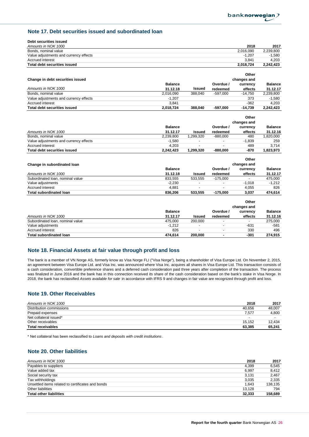# **Note 17. Debt securities issued and subordinated loan**

| Debt securities issued                      |                       |                                     |                                   |                      |                                   |
|---------------------------------------------|-----------------------|-------------------------------------|-----------------------------------|----------------------|-----------------------------------|
| Amounts in NOK 1000<br>Bonds, nominal value |                       |                                     |                                   | 2018<br>2,016,090    | 2017<br>2,239,800                 |
| Value adjustments and currency effects      |                       |                                     |                                   | $-1,207$             | $-1,580$                          |
| <b>Accrued interest</b>                     |                       |                                     |                                   | 3,841                | 4,203                             |
| <b>Total debt securities issued</b>         |                       |                                     |                                   | 2,018,724            | 2,242,423                         |
|                                             |                       |                                     |                                   |                      |                                   |
|                                             |                       |                                     |                                   | Other                |                                   |
|                                             |                       |                                     |                                   | changes and          |                                   |
| Change in debt securities issued            | <b>Balance</b>        |                                     | Overdue /                         |                      |                                   |
| Amounts in NOK 1000                         |                       | <b>Issued</b>                       |                                   | currency             | <b>Balance</b>                    |
| Bonds, nominal value                        | 31.12.18<br>2.016.090 | 388,040                             | redeemed<br>$-597.000$            | effects<br>$-14.750$ | 31.12.17<br>2,239,800             |
|                                             |                       |                                     |                                   |                      |                                   |
| Value adjustments and currency effects      | $-1.207$              |                                     |                                   | 373                  | $-1.580$                          |
| Accrued interest                            | 3.841                 |                                     |                                   | $-362$               | 4,203                             |
| <b>Total debt securities issued</b>         | 2,018,724             | 388,040                             | $-597,000$                        | $-14,739$            | 2,242,423                         |
|                                             |                       |                                     |                                   | Other                |                                   |
|                                             |                       |                                     |                                   |                      |                                   |
|                                             |                       |                                     |                                   | changes and          |                                   |
|                                             | <b>Balance</b>        |                                     | Overdue /                         | currency             | <b>Balance</b>                    |
| Amounts in NOK 1000                         | 31.12.17              | Issued                              | redeemed                          | effects              | 31.12.16                          |
| Bonds, nominal value                        | 2,239,800             | 1,299,320                           | $-880,000$                        | 480                  | 1,820,000                         |
| Value adjustments and currency effects      | $-1,580$              | $\overline{\phantom{a}}$            | $\overline{\phantom{a}}$          | $-1,839$             | 259                               |
| Accrued interest                            | 4,203                 |                                     |                                   | 489                  | 3,714                             |
| <b>Total debt securities issued</b>         | 2,242,423             | 1,299,320                           | $-880,000$                        | $-870$               | 1,823,973                         |
|                                             |                       |                                     |                                   | Other                |                                   |
|                                             |                       |                                     |                                   |                      |                                   |
| Change in subordinated loan                 | <b>Balance</b>        |                                     | Overdue /                         | changes and          | <b>Balance</b>                    |
|                                             | 31.12.18              |                                     |                                   | currency             |                                   |
| Amounts in NOK 1000                         |                       | <b>Issued</b>                       | redeemed                          | effects              | 31.12.17                          |
| Subordinated Ioan, nominal value            | 833,555<br>$-2.230$   | 533,555<br>$\overline{\phantom{a}}$ | $-175,000$                        | $-1.018$             | 475,000<br>$-1,212$               |
| Value adjustments<br>Accrued interest       | 4,881                 |                                     |                                   | 4,055                | 826                               |
|                                             |                       |                                     |                                   |                      |                                   |
| <b>Total subordinated loan</b>              | 836,206               | 533,555                             | $-175,000$                        | 3,037                | 474,614                           |
|                                             |                       |                                     |                                   |                      |                                   |
|                                             |                       |                                     |                                   | Other                |                                   |
|                                             |                       |                                     |                                   | changes and          |                                   |
| 1.1.1.1.1.1.1.1.1.1.1.0.0.0                 | <b>Balance</b><br>. - |                                     | Overdue /<br>and the state of the | currency             | <b>Balance</b><br><b>04.40.40</b> |

|                                  | <b>Balance</b> |                          | Overdue  | currency                 | <b>Balance</b> |
|----------------------------------|----------------|--------------------------|----------|--------------------------|----------------|
| Amounts in NOK 1000              | 31.12.17       | Issued                   | redeemed | effects                  | 31.12.16       |
| Subordinated Ioan, nominal value | 475.000        | 200,000                  |          | $\overline{\phantom{0}}$ | 275.000        |
| Value adiustments                | $-1.212$       | $\overline{\phantom{a}}$ |          | $-631$                   | $-581$         |
| Accrued interest                 | 826            | $\overline{\phantom{a}}$ |          | 330                      | 496            |
| Total subordinated loan          | 474.614        | 200.000                  |          | -301                     | 274.915        |

## **Note 18. Financial Assets at fair value through profit and loss**

The bank is a member of VN Norge AS, formerly know as Visa Norge FLI ("Visa Norge"), being a shareholder of Visa Europe Ltd. On November 2, 2015, an agreement between Visa Europe Ltd. and Visa Inc. was announced where Visa Inc. acquires all shares in Visa Europe Ltd. This transaction consists of a cash consideration, convertible preference shares and a deferred cash consideration paid three years after completion of the transaction. The process was finalized in June 2016 and the bank has in this connection received its share of the cash consideration based on the bank's stake in Visa Norge. In 2018, the bank has reclassified *Assets available for sale* in accordance with IFRS 9 and changes in fair value are recognized through profit and loss.

# **Note 19. Other Receivables**

| Amounts in NOK 1000      | 2018                     | 2017                     |
|--------------------------|--------------------------|--------------------------|
| Distribution commissions | 40.656                   | 48.007                   |
| Prepaid expenses         | 7.577                    | 4.800                    |
| Net collateral issued*   | $\overline{\phantom{0}}$ | $\overline{\phantom{0}}$ |
| Other receivables        | 15.152                   | 12.434                   |
| <b>Total receivables</b> | 63.385                   | 65,241                   |

\* Net collateral has been reclassified to *Loans and deposits with credit institutions* .

## **Note 20. Other liabilities**

| Amounts in NOK 1000                               | 2018   | 2017    |
|---------------------------------------------------|--------|---------|
| Payables to suppliers                             | 4,399  | 6.545   |
| Value added tax                                   | 6.997  | 8.412   |
| Social security tax                               | 3.131  | 2.467   |
| Tax withholdings                                  | 3,035  | 2.335   |
| Unsettled items related to certificates and bonds | 1.643  | 138.135 |
| Other liabilities                                 | 13.128 | 794     |
| <b>Total other liabilities</b>                    | 32.333 | 158.689 |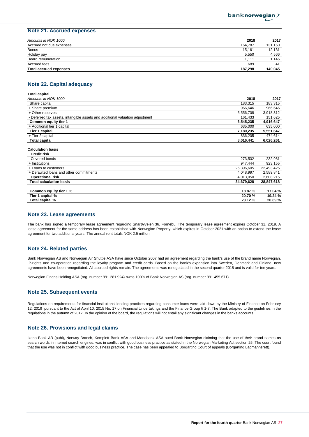## **Note 21. Accrued expenses**

| Amounts in NOK 1000           | 2018    | 2017    |
|-------------------------------|---------|---------|
| Accrued not due expenses      | 164.787 | 131,160 |
| Bonus                         | 15.161  | 12.131  |
| Holiday pay                   | 5.550   | 4,566   |
| Board remuneration            | 1.111   | 1.146   |
| Accrued fees                  | 689     | 41      |
| <b>Total accrued expenses</b> | 187.298 | 149.045 |

## **Note 22. Capital adequacy**

| Total capital                                                                |            |            |
|------------------------------------------------------------------------------|------------|------------|
| Amounts in NOK 1000                                                          | 2018       | 2017       |
| Share capital                                                                | 183,315    | 183,315    |
| + Share premium                                                              | 966,646    | 966,646    |
| + Other reserves                                                             | 5,556,708  | 3,918,312  |
| - Deferred tax assets, intangible assets and additional valuation adjustment | 161,433    | 151,625    |
| Common equity tier 1                                                         | 6,545,235  | 4,916,647  |
| + Additional tier 1 capital                                                  | 635.000    | 635,000    |
| Tier 1 capital                                                               | 7,180,235  | 5,551,647  |
| + Tier 2 capital                                                             | 836,205    | 474,614    |
| <b>Total capital</b>                                                         | 8,016,441  | 6,026,261  |
| <b>Calculation basis</b><br><b>Credit risk</b>                               |            |            |
| Covered bonds                                                                | 273,532    | 232,981    |
| + Institutions                                                               | 947,444    | 923,155    |
| + Loans to customers                                                         | 25,396,605 | 22,493,425 |
| + Defaulted loans and other commitments                                      | 4,048,997  | 2,589,841  |
| <b>Operational risk</b>                                                      | 4,013,050  | 2,608,215  |
| Tatal aslanlation basis                                                      | 31.070.000 | 00.017.010 |

| <b>Total calculation basis</b> | 34.679.628 | 28.847.618 |
|--------------------------------|------------|------------|
|                                |            |            |
| Common equity tier 1 %         | 18.87 %    | 17.04 %    |
| Tier 1 capital %               | 20.70%     | 19.24 %    |
| Total capital %                | 23.12%     | 20.89%     |

## **Note 23. Lease agreements**

The bank has signed a temporary lease agreement regarding Snarøyveien 36, Fornebu. The temporary lease agreement expires October 31, 2019. A lease agreement for the same address has been established with Norwegian Property, which expires in October 2021 with an option to extend the lease agreement for two additional years. The annual rent totals NOK 2.5 million.

## **Note 24. Related parties**

Bank Norwegian AS and Norwegian Air Shuttle ASA have since October 2007 had an agreement regarding the bank's use of the brand name Norwegian, IP-rights and co-operation regarding the loyalty program and credit cards. Based on the bank's expansion into Sweden, Denmark and Finland, new agreements have been renegotiated. All accrued rights remain. The agreements was renegotiated in the second quarter 2018 and is valid for ten years.

Norwegian Finans Holding ASA (org. number 991 281 924) owns 100% of Bank Norwegian AS (org. number 991 455 671).

## **Note 25. Subsequent events**

Regulations on requirements for financial institutions' lending practices regarding consumer loans were laid down by the Ministry of Finance on February 12, 2019 pursuant to the Act of April 10, 2015 No. 17 on Financial Undertakings and the Finance Group § 1-7. The Bank adapted to the guidelines in the regulations in the autumn of 2017. In the opinion of the board, the regulations will not entail any significant changes in the banks accounts.

## **Note 26. Provisions and legal claims**

Ikano Bank AB (publ), Norway Branch, Komplett Bank ASA and Monobank ASA sued Bank Norwegian claiming that the use of their brand names as search words in internet search engines, was in conflict with good business practice as stated in the Norwegian Marketing Act section 25. The court found that the use was not in conflict with good business practice. The case has been appealed to Borgarting Court of appeals (Borgarting Lagmannsrett).